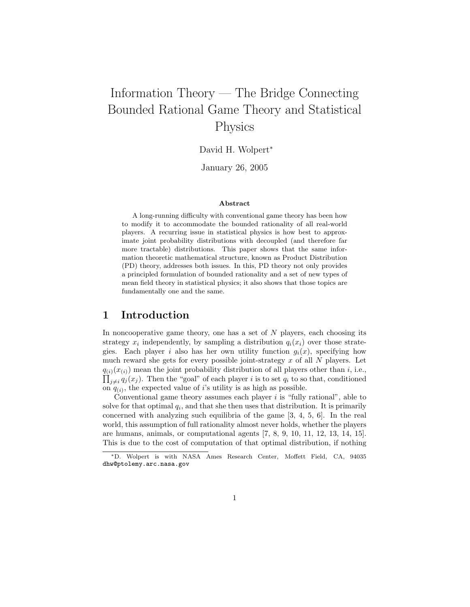## Information Theory — The Bridge Connecting Bounded Rational Game Theory and Statistical Physics

David H. Wolpert<sup>∗</sup>

January 26, 2005

#### **Abstract**

A long-running difficulty with conventional game theory has been how to modify it to accommodate the bounded rationality of all real-world players. A recurring issue in statistical physics is how best to approximate joint probability distributions with decoupled (and therefore far more tractable) distributions. This paper shows that the same information theoretic mathematical structure, known as Product Distribution (PD) theory, addresses both issues. In this, PD theory not only provides a principled formulation of bounded rationality and a set of new types of mean field theory in statistical physics; it also shows that those topics are fundamentally one and the same.

## **1 Introduction**

In noncooperative game theory, one has a set of  $N$  players, each choosing its strategy  $x_i$  independently, by sampling a distribution  $q_i(x_i)$  over those strategies. Each player i also has her own utility function  $g_i(x)$ , specifying how much reward she gets for every possible joint-strategy x of all  $N$  players. Let  $\prod_{j\neq i} q_j(x_j)$ . Then the "goal" of each player *i* is to set  $q_i$  to so that, conditioned<br>on  $q_{ij}$ , the expected value of *i*'s utility is as high as possible  $q(i)(x(i))$  mean the joint probability distribution of all players other than i, i.e., on  $q_{(i)}$ , the expected value of i's utility is as high as possible.

Conventional game theory assumes each player  $i$  is "fully rational", able to solve for that optimal  $q_i$ , and that she then uses that distribution. It is primarily concerned with analyzing such equilibria of the game [3, 4, 5, 6]. In the real world, this assumption of full rationality almost never holds, whether the players are humans, animals, or computational agents [7, 8, 9, 10, 11, 12, 13, 14, 15]. This is due to the cost of computation of that optimal distribution, if nothing

<sup>∗</sup>D. Wolpert is with NASA Ames Research Center, Moffett Field, CA, 94035 dhw@ptolemy.arc.nasa.gov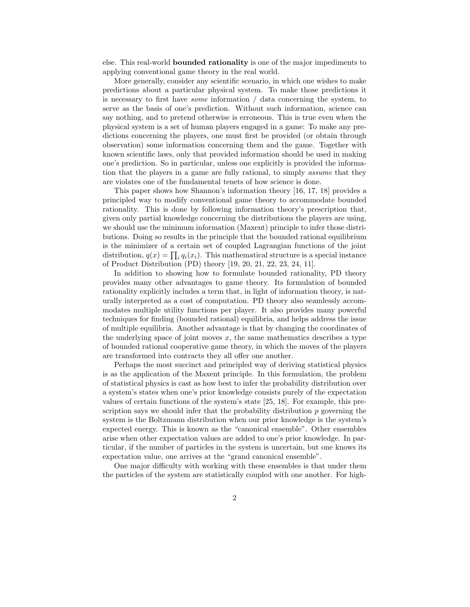else. This real-world **bounded rationality** is one of the major impediments to applying conventional game theory in the real world.

More generally, consider any scientific scenario, in which one wishes to make predictions about a particular physical system. To make those predictions it is necessary to first have *some* information / data concerning the system, to serve as the basis of one's prediction. Without such information, science can say nothing, and to pretend otherwise is erroneous. This is true even when the physical system is a set of human players engaged in a game: To make any predictions concerning the players, one must first be provided (or obtain through observation) some information concerning them and the game. Together with known scientific laws, only that provided information should be used in making one's prediction. So in particular, unless one explicitly is provided the information that the players in a game are fully rational, to simply *assume* that they are violates one of the fundamental tenets of how science is done.

This paper shows how Shannon's information theory [16, 17, 18] provides a principled way to modify conventional game theory to accommodate bounded rationality. This is done by following information theory's prescription that, given only partial knowledge concerning the distributions the players are using, we should use the minimum information (Maxent) principle to infer those distributions. Doing so results in the principle that the bounded rational equilibrium is the minimizer of a certain set of coupled Lagrangian functions of the joint distribution,  $q(x) = \prod_i q_i(x_i)$ . This mathematical structure is a special instance<br>of Product Distribution (PD) theory [19, 20, 21, 22, 23, 24, 11] of Product Distribution (PD) theory [19, 20, 21, 22, 23, 24, 11].

In addition to showing how to formulate bounded rationality, PD theory provides many other advantages to game theory. Its formulation of bounded rationality explicitly includes a term that, in light of information theory, is naturally interpreted as a cost of computation. PD theory also seamlessly accommodates multiple utility functions per player. It also provides many powerful techniques for finding (bounded rational) equilibria, and helps address the issue of multiple equilibria. Another advantage is that by changing the coordinates of the underlying space of joint moves  $x$ , the same mathematics describes a type of bounded rational cooperative game theory, in which the moves of the players are transformed into contracts they all offer one another.

Perhaps the most succinct and principled way of deriving statistical physics is as the application of the Maxent principle. In this formulation, the problem of statistical physics is cast as how best to infer the probability distribution over a system's states when one's prior knowledge consists purely of the expectation values of certain functions of the system's state [25, 18]. For example, this prescription says we should infer that the probability distribution  $p$  governing the system is the Boltzmann distribution when our prior knowledge is the system's expected energy. This is known as the "canonical ensemble". Other ensembles arise when other expectation values are added to one's prior knowledge. In particular, if the number of particles in the system is uncertain, but one knows its expectation value, one arrives at the "grand canonical ensemble".

One major difficulty with working with these ensembles is that under them the particles of the system are statistically coupled with one another. For high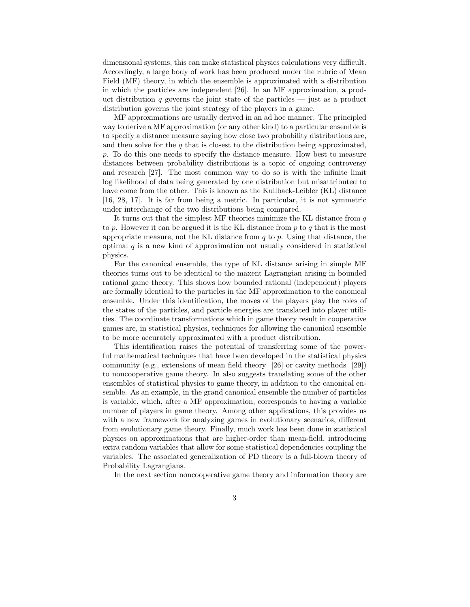dimensional systems, this can make statistical physics calculations very difficult. Accordingly, a large body of work has been produced under the rubric of Mean Field (MF) theory, in which the ensemble is approximated with a distribution in which the particles are independent [26]. In an MF approximation, a product distribution q governs the joint state of the particles — just as a product distribution governs the joint strategy of the players in a game.

MF approximations are usually derived in an ad hoc manner. The principled way to derive a MF approximation (or any other kind) to a particular ensemble is to specify a distance measure saying how close two probability distributions are, and then solve for the  $q$  that is closest to the distribution being approximated, p. To do this one needs to specify the distance measure. How best to measure distances between probability distributions is a topic of ongoing controversy and research [27]. The most common way to do so is with the infinite limit log likelihood of data being generated by one distribution but misattributed to have come from the other. This is known as the Kullback-Leibler (KL) distance [16, 28, 17]. It is far from being a metric. In particular, it is not symmetric under interchange of the two distributions being compared.

It turns out that the simplest MF theories minimize the KL distance from  $q$ to p. However it can be argued it is the KL distance from  $p$  to  $q$  that is the most appropriate measure, not the KL distance from  $q$  to  $p$ . Using that distance, the optimal  $q$  is a new kind of approximation not usually considered in statistical physics.

For the canonical ensemble, the type of KL distance arising in simple MF theories turns out to be identical to the maxent Lagrangian arising in bounded rational game theory. This shows how bounded rational (independent) players are formally identical to the particles in the MF approximation to the canonical ensemble. Under this identification, the moves of the players play the roles of the states of the particles, and particle energies are translated into player utilities. The coordinate transformations which in game theory result in cooperative games are, in statistical physics, techniques for allowing the canonical ensemble to be more accurately approximated with a product distribution.

This identification raises the potential of transferring some of the powerful mathematical techniques that have been developed in the statistical physics community (e.g., extensions of mean field theory [26] or cavity methods [29]) to noncooperative game theory. In also suggests translating some of the other ensembles of statistical physics to game theory, in addition to the canonical ensemble. As an example, in the grand canonical ensemble the number of particles is variable, which, after a MF approximation, corresponds to having a variable number of players in game theory. Among other applications, this provides us with a new framework for analyzing games in evolutionary scenarios, different from evolutionary game theory. Finally, much work has been done in statistical physics on approximations that are higher-order than mean-field, introducing extra random variables that allow for some statistical dependencies coupling the variables. The associated generalization of PD theory is a full-blown theory of Probability Lagrangians.

In the next section noncooperative game theory and information theory are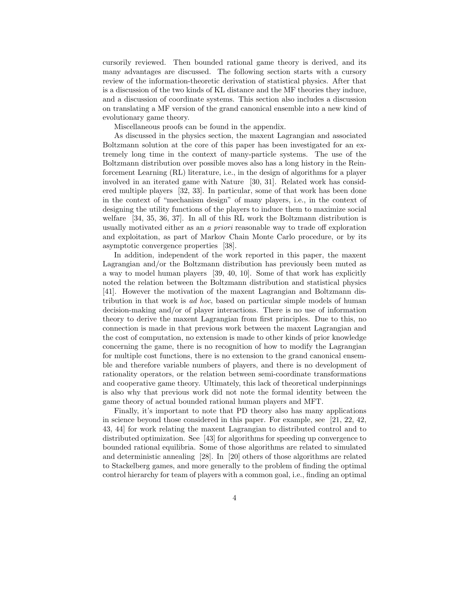cursorily reviewed. Then bounded rational game theory is derived, and its many advantages are discussed. The following section starts with a cursory review of the information-theoretic derivation of statistical physics. After that is a discussion of the two kinds of KL distance and the MF theories they induce, and a discussion of coordinate systems. This section also includes a discussion on translating a MF version of the grand canonical ensemble into a new kind of evolutionary game theory.

Miscellaneous proofs can be found in the appendix.

As discussed in the physics section, the maxent Lagrangian and associated Boltzmann solution at the core of this paper has been investigated for an extremely long time in the context of many-particle systems. The use of the Boltzmann distribution over possible moves also has a long history in the Reinforcement Learning (RL) literature, i.e., in the design of algorithms for a player involved in an iterated game with Nature [30, 31]. Related work has considered multiple players [32, 33]. In particular, some of that work has been done in the context of "mechanism design" of many players, i.e., in the context of designing the utility functions of the players to induce them to maximize social welfare [34, 35, 36, 37]. In all of this RL work the Boltzmann distribution is usually motivated either as an *a priori* reasonable way to trade off exploration and exploitation, as part of Markov Chain Monte Carlo procedure, or by its asymptotic convergence properties [38].

In addition, independent of the work reported in this paper, the maxent Lagrangian and/or the Boltzmann distribution has previously been muted as a way to model human players [39, 40, 10]. Some of that work has explicitly noted the relation between the Boltzmann distribution and statistical physics [41]. However the motivation of the maxent Lagrangian and Boltzmann distribution in that work is *ad hoc*, based on particular simple models of human decision-making and/or of player interactions. There is no use of information theory to derive the maxent Lagrangian from first principles. Due to this, no connection is made in that previous work between the maxent Lagrangian and the cost of computation, no extension is made to other kinds of prior knowledge concerning the game, there is no recognition of how to modify the Lagrangian for multiple cost functions, there is no extension to the grand canonical ensemble and therefore variable numbers of players, and there is no development of rationality operators, or the relation between semi-coordinate transformations and cooperative game theory. Ultimately, this lack of theoretical underpinnings is also why that previous work did not note the formal identity between the game theory of actual bounded rational human players and MFT.

Finally, it's important to note that PD theory also has many applications in science beyond those considered in this paper. For example, see [21, 22, 42, 43, 44] for work relating the maxent Lagrangian to distributed control and to distributed optimization. See [43] for algorithms for speeding up convergence to bounded rational equilibria. Some of those algorithms are related to simulated and deterministic annealing [28]. In [20] others of those algorithms are related to Stackelberg games, and more generally to the problem of finding the optimal control hierarchy for team of players with a common goal, i.e., finding an optimal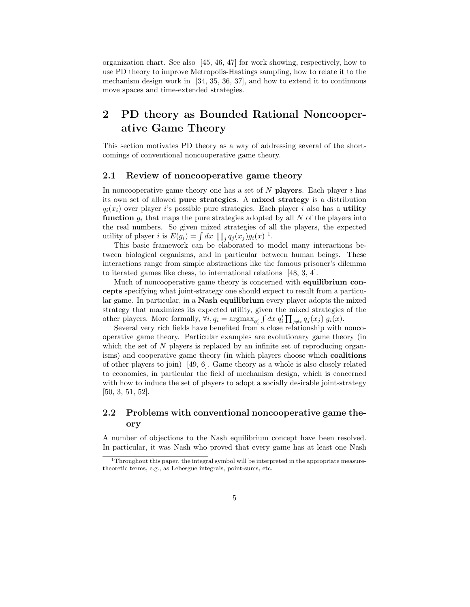organization chart. See also [45, 46, 47] for work showing, respectively, how to use PD theory to improve Metropolis-Hastings sampling, how to relate it to the mechanism design work in [34, 35, 36, 37], and how to extend it to continuous move spaces and time-extended strategies.

## **2 PD theory as Bounded Rational Noncooperative Game Theory**

This section motivates PD theory as a way of addressing several of the shortcomings of conventional noncooperative game theory.

#### **2.1 Review of noncooperative game theory**

In noncooperative game theory one has a set of N **players**. Each player i has its own set of allowed **pure strategies**. A **mixed strategy** is a distribution  $q_i(x_i)$  over player i's possible pure strategies. Each player i also has a **utility function**  $g_i$  that maps the pure strategies adopted by all N of the players into the real numbers. So given mixed strategies of all the players, the expected utility of player i is  $E(g_i) = \int dx \prod_j q_j(x_j)g_i(x)^{-1}$ .<br>This basic framework can be elaborated to m

This basic framework can be elaborated to model many interactions between biological organisms, and in particular between human beings. These interactions range from simple abstractions like the famous prisoner's dilemma to iterated games like chess, to international relations [48, 3, 4].

Much of noncooperative game theory is concerned with **equilibrium concepts** specifying what joint-strategy one should expect to result from a particular game. In particular, in a **Nash equilibrium** every player adopts the mixed strategy that maximizes its expected utility, given the mixed strategies of the other players. More formally,  $\forall i, q_i = \arg \max_{q'_i} \int dx \ q'_i \prod_{j \neq i} q_j(x_j) \ g_i(x)$ .<br>Several very rich fields have benefited from a close relationship with

Several very rich fields have benefited from a close relationship with noncooperative game theory. Particular examples are evolutionary game theory (in which the set of  $N$  players is replaced by an infinite set of reproducing organisms) and cooperative game theory (in which players choose which **coalitions** of other players to join) [49, 6]. Game theory as a whole is also closely related to economics, in particular the field of mechanism design, which is concerned with how to induce the set of players to adopt a socially desirable joint-strategy [50, 3, 51, 52].

## **2.2 Problems with conventional noncooperative game theory**

A number of objections to the Nash equilibrium concept have been resolved. In particular, it was Nash who proved that every game has at least one Nash

<sup>1</sup>Throughout this paper, the integral symbol will be interpreted in the appropriate measuretheoretic terms, e.g., as Lebesgue integrals, point-sums, etc.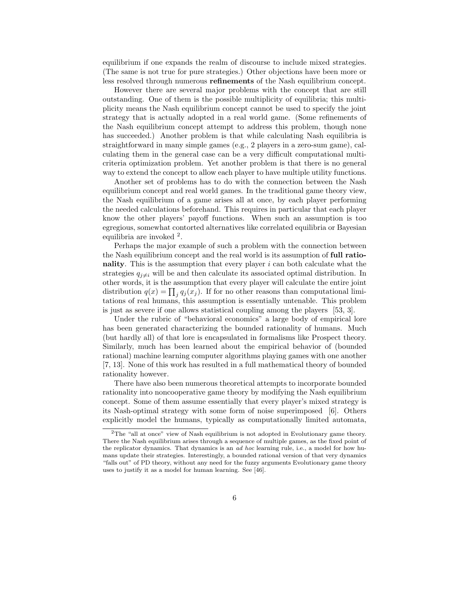equilibrium if one expands the realm of discourse to include mixed strategies. (The same is not true for pure strategies.) Other objections have been more or less resolved through numerous **refinements** of the Nash equilibrium concept.

However there are several major problems with the concept that are still outstanding. One of them is the possible multiplicity of equilibria; this multiplicity means the Nash equilibrium concept cannot be used to specify the joint strategy that is actually adopted in a real world game. (Some refinements of the Nash equilibrium concept attempt to address this problem, though none has succeeded.) Another problem is that while calculating Nash equilibria is straightforward in many simple games (e.g., 2 players in a zero-sum game), calculating them in the general case can be a very difficult computational multicriteria optimization problem. Yet another problem is that there is no general way to extend the concept to allow each player to have multiple utility functions.

Another set of problems has to do with the connection between the Nash equilibrium concept and real world games. In the traditional game theory view, the Nash equilibrium of a game arises all at once, by each player performing the needed calculations beforehand. This requires in particular that each player know the other players' payoff functions. When such an assumption is too egregious, somewhat contorted alternatives like correlated equilibria or Bayesian equilibria are invoked <sup>2</sup>.

Perhaps the major example of such a problem with the connection between the Nash equilibrium concept and the real world is its assumption of **full rationality**. This is the assumption that every player i can both calculate what the strategies  $q_{i\neq i}$  will be and then calculate its associated optimal distribution. In other words, it is the assumption that every player will calculate the entire joint distribution  $q(x) = \prod_j q_j(x_j)$ . If for no other reasons than computational limitations of real humans, this assumption is essentially untenable. This problem tations of real humans, this assumption is essentially untenable. This problem is just as severe if one allows statistical coupling among the players [53, 3].

Under the rubric of "behavioral economics" a large body of empirical lore has been generated characterizing the bounded rationality of humans. Much (but hardly all) of that lore is encapsulated in formalisms like Prospect theory. Similarly, much has been learned about the empirical behavior of (bounded rational) machine learning computer algorithms playing games with one another [7, 13]. None of this work has resulted in a full mathematical theory of bounded rationality however.

There have also been numerous theoretical attempts to incorporate bounded rationality into noncooperative game theory by modifying the Nash equilibrium concept. Some of them assume essentially that every player's mixed strategy is its Nash-optimal strategy with some form of noise superimposed [6]. Others explicitly model the humans, typically as computationally limited automata,

<sup>2</sup>The "all at once" view of Nash equilibrium is not adopted in Evolutionary game theory. There the Nash equilibrium arises through a sequence of multiple games, as the fixed point of the replicator dynamics. That dynamics is an *ad hoc* learning rule, i.e., a model for how humans update their strategies. Interestingly, a bounded rational version of that very dynamics "falls out" of PD theory, without any need for the fuzzy arguments Evolutionary game theory uses to justify it as a model for human learning. See [46].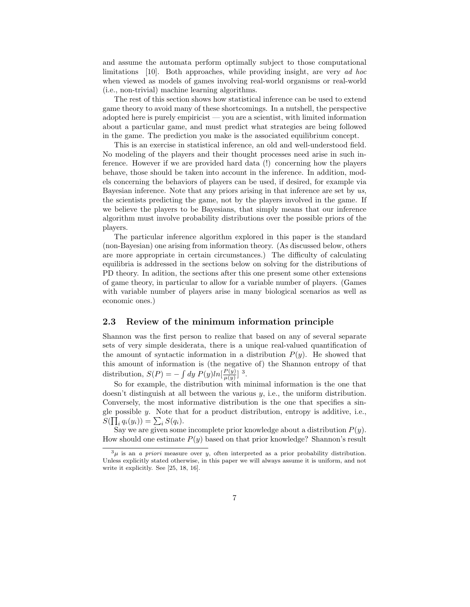and assume the automata perform optimally subject to those computational limitations [10]. Both approaches, while providing insight, are very *ad hoc* when viewed as models of games involving real-world organisms or real-world (i.e., non-trivial) machine learning algorithms.

The rest of this section shows how statistical inference can be used to extend game theory to avoid many of these shortcomings. In a nutshell, the perspective adopted here is purely empiricist — you are a scientist, with limited information about a particular game, and must predict what strategies are being followed in the game. The prediction you make is the associated equilibrium concept.

This is an exercise in statistical inference, an old and well-understood field. No modeling of the players and their thought processes need arise in such inference. However if we are provided hard data (!) concerning how the players behave, those should be taken into account in the inference. In addition, models concerning the behaviors of players can be used, if desired, for example via Bayesian inference. Note that any priors arising in that inference are set by *us*, the scientists predicting the game, not by the players involved in the game. If we believe the players to be Bayesians, that simply means that our inference algorithm must involve probability distributions over the possible priors of the players.

The particular inference algorithm explored in this paper is the standard (non-Bayesian) one arising from information theory. (As discussed below, others are more appropriate in certain circumstances.) The difficulty of calculating equilibria is addressed in the sections below on solving for the distributions of PD theory. In adition, the sections after this one present some other extensions of game theory, in particular to allow for a variable number of players. (Games with variable number of players arise in many biological scenarios as well as economic ones.)

## **2.3 Review of the minimum information principle**

Shannon was the first person to realize that based on any of several separate sets of very simple desiderata, there is a unique real-valued quantification of the amount of syntactic information in a distribution  $P(y)$ . He showed that this amount of information is (the negative of) the Shannon entropy of that distribution,  $S(P) = -\int dy P(y) ln[\frac{P(y)}{\mu(y)}]^{3}$ .<br>So for example, the distribution with n

So for example, the distribution with minimal information is the one that doesn't distinguish at all between the various  $y$ , i.e., the uniform distribution. Conversely, the most informative distribution is the one that specifies a single possible y. Note that for a product distribution, entropy is additive, i.e.,  $S(\prod_i q_i(y_i)) = \sum_i S(q_i).$ <br>Say we are given some

Say we are given some incomplete prior knowledge about a distribution  $P(y)$ . How should one estimate  $P(y)$  based on that prior knowledge? Shannon's result

 $3\mu$  is an *a priori* measure over *y*, often interpreted as a prior probability distribution. Unless explicitly stated otherwise, in this paper we will always assume it is uniform, and not write it explicitly. See [25, 18, 16].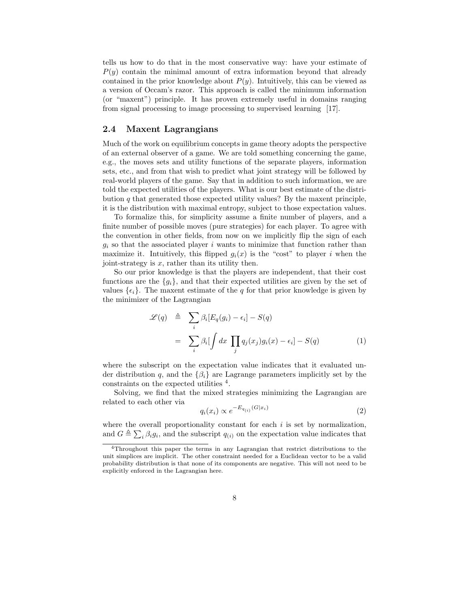tells us how to do that in the most conservative way: have your estimate of  $P(y)$  contain the minimal amount of extra information beyond that already contained in the prior knowledge about  $P(y)$ . Intuitively, this can be viewed as a version of Occam's razor. This approach is called the minimum information (or "maxent") principle. It has proven extremely useful in domains ranging from signal processing to image processing to supervised learning [17].

#### **2.4 Maxent Lagrangians**

Much of the work on equilibrium concepts in game theory adopts the perspective of an external observer of a game. We are told something concerning the game, e.g., the moves sets and utility functions of the separate players, information sets, etc., and from that wish to predict what joint strategy will be followed by real-world players of the game. Say that in addition to such information, we are told the expected utilities of the players. What is our best estimate of the distribution  $q$  that generated those expected utility values? By the maxent principle, it is the distribution with maximal entropy, subject to those expectation values.

To formalize this, for simplicity assume a finite number of players, and a finite number of possible moves (pure strategies) for each player. To agree with the convention in other fields, from now on we implicitly flip the sign of each  $g_i$  so that the associated player i wants to minimize that function rather than maximize it. Intuitively, this flipped  $g_i(x)$  is the "cost" to player i when the joint-strategy is  $x$ , rather than its utility then.

So our prior knowledge is that the players are independent, that their cost functions are the  ${g_i}$ , and that their expected utilities are given by the set of values  $\{\epsilon_i\}$ . The maxent estimate of the q for that prior knowledge is given by the minimizer of the Lagrangian

$$
\mathcal{L}(q) \triangleq \sum_{i} \beta_i [E_q(g_i) - \epsilon_i] - S(q)
$$

$$
= \sum_{i} \beta_i [\int dx \prod_{j} q_j(x_j) g_i(x) - \epsilon_i] - S(q) \tag{1}
$$

where the subscript on the expectation value indicates that it evaluated under distribution q, and the  $\{\beta_i\}$  are Lagrange parameters implicitly set by the constraints on the expected utilities <sup>4</sup>.

Solving, we find that the mixed strategies minimizing the Lagrangian are related to each other via

$$
q_i(x_i) \propto e^{-E_{q_{(i)}}(G|x_i)} \tag{2}
$$

where the overall proportionality constant for each  $i$  is set by normalization, and  $G \triangleq \sum_i \beta_i g_i$ , and the subscript  $q_{(i)}$  on the expectation value indicates that

<sup>4</sup>Throughout this paper the terms in any Lagrangian that restrict distributions to the unit simplices are implicit. The other constraint needed for a Euclidean vector to be a valid probability distribution is that none of its components are negative. This will not need to be explicitly enforced in the Lagrangian here.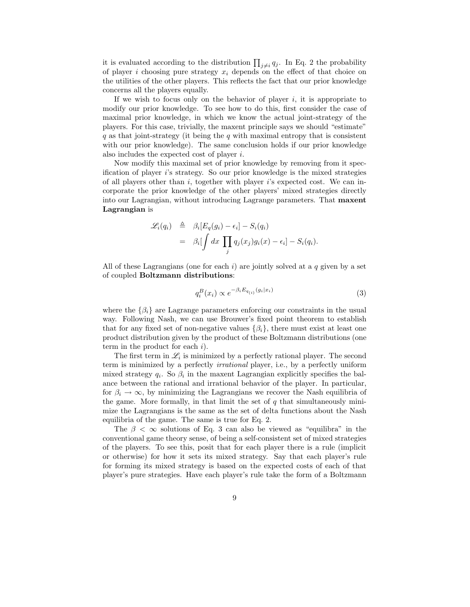it is evaluated according to the distribution  $\prod_{j\neq i} q_j$ . In Eq. 2 the probability<br>of player *i* choosing pure strategy *x*; depends on the effect of that choice on of player i choosing pure strategy  $x_i$  depends on the effect of that choice on the utilities of the other players. This reflects the fact that our prior knowledge concerns all the players equally.

If we wish to focus only on the behavior of player  $i$ , it is appropriate to modify our prior knowledge. To see how to do this, first consider the case of maximal prior knowledge, in which we know the actual joint-strategy of the players. For this case, trivially, the maxent principle says we should "estimate"  $q$  as that joint-strategy (it being the  $q$  with maximal entropy that is consistent with our prior knowledge). The same conclusion holds if our prior knowledge also includes the expected cost of player i.

Now modify this maximal set of prior knowledge by removing from it specification of player i's strategy. So our prior knowledge is the mixed strategies of all players other than  $i$ , together with player  $i$ 's expected cost. We can incorporate the prior knowledge of the other players' mixed strategies directly into our Lagrangian, without introducing Lagrange parameters. That **maxent Lagrangian** is

$$
\mathscr{L}_i(q_i) \triangleq \beta_i [E_q(g_i) - \epsilon_i] - S_i(q_i)
$$
  
=  $\beta_i [\int dx \prod_j q_j(x_j) g_i(x) - \epsilon_i] - S_i(q_i).$ 

All of these Lagrangians (one for each i) are jointly solved at a  $q$  given by a set of coupled **Boltzmann distributions**:

$$
q_i^B(x_i) \propto e^{-\beta_i E_{q(i)}(g_i|x_i)}
$$
\n(3)

where the  $\{\beta_i\}$  are Lagrange parameters enforcing our constraints in the usual way. Following Nash, we can use Brouwer's fixed point theorem to establish that for any fixed set of non-negative values  $\{\beta_i\}$ , there must exist at least one product distribution given by the product of these Boltzmann distributions (one term in the product for each i).

The first term in  $\mathscr{L}_i$  is minimized by a perfectly rational player. The second term is minimized by a perfectly *irrational* player, i.e., by a perfectly uniform mixed strategy  $q_i$ . So  $\beta_i$  in the maxent Lagrangian explicitly specifies the balance between the rational and irrational behavior of the player. In particular, for  $\beta_i \to \infty$ , by minimizing the Lagrangians we recover the Nash equilibria of the game. More formally, in that limit the set of  $q$  that simultaneously minimize the Lagrangians is the same as the set of delta functions about the Nash equilibria of the game. The same is true for Eq. 2.

The  $\beta < \infty$  solutions of Eq. 3 can also be viewed as "equilibra" in the conventional game theory sense, of being a self-consistent set of mixed strategies of the players. To see this, posit that for each player there is a rule (implicit or otherwise) for how it sets its mixed strategy. Say that each player's rule for forming its mixed strategy is based on the expected costs of each of that player's pure strategies. Have each player's rule take the form of a Boltzmann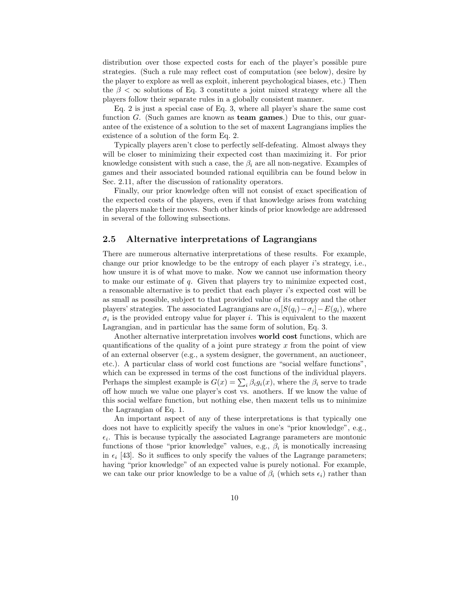distribution over those expected costs for each of the player's possible pure strategies. (Such a rule may reflect cost of computation (see below), desire by the player to explore as well as exploit, inherent psychological biases, etc.) Then the  $\beta < \infty$  solutions of Eq. 3 constitute a joint mixed strategy where all the players follow their separate rules in a globally consistent manner.

Eq. 2 is just a special case of Eq. 3, where all player's share the same cost function G. (Such games are known as **team games**.) Due to this, our guarantee of the existence of a solution to the set of maxent Lagrangians implies the existence of a solution of the form Eq. 2.

Typically players aren't close to perfectly self-defeating. Almost always they will be closer to minimizing their expected cost than maximizing it. For prior knowledge consistent with such a case, the  $\beta_i$  are all non-negative. Examples of games and their associated bounded rational equilibria can be found below in Sec. 2.11, after the discussion of rationality operators.

Finally, our prior knowledge often will not consist of exact specification of the expected costs of the players, even if that knowledge arises from watching the players make their moves. Such other kinds of prior knowledge are addressed in several of the following subsections.

## **2.5 Alternative interpretations of Lagrangians**

There are numerous alternative interpretations of these results. For example, change our prior knowledge to be the entropy of each player  $i$ 's strategy, i.e., how unsure it is of what move to make. Now we cannot use information theory to make our estimate of  $q$ . Given that players try to minimize expected cost, a reasonable alternative is to predict that each player i's expected cost will be as small as possible, subject to that provided value of its entropy and the other players' strategies. The associated Lagrangians are  $\alpha_i[S(q_i)-\sigma_i]-E(q_i)$ , where  $\sigma_i$  is the provided entropy value for player i. This is equivalent to the maxent Lagrangian, and in particular has the same form of solution, Eq. 3.

Another alternative interpretation involves **world cost** functions, which are quantifications of the quality of a joint pure strategy  $x$  from the point of view of an external observer (e.g., a system designer, the government, an auctioneer, etc.). A particular class of world cost functions are "social welfare functions", which can be expressed in terms of the cost functions of the individual players. Perhaps the simplest example is  $G(x) = \sum_i \beta_i g_i(x)$ , where the  $\beta_i$  serve to trade<br>off how much we value one player's cost vs. anothers. If we know the value of off how much we value one player's cost vs. anothers. If we know the value of this social welfare function, but nothing else, then maxent tells us to minimize the Lagrangian of Eq. 1.

An important aspect of any of these interpretations is that typically one does not have to explicitly specify the values in one's "prior knowledge", e.g.,  $\epsilon_i$ . This is because typically the associated Lagrange parameters are montonic functions of those "prior knowledge" values, e.g.,  $\beta_i$  is monotically increasing in  $\epsilon_i$  [43]. So it suffices to only specify the values of the Lagrange parameters; having "prior knowledge" of an expected value is purely notional. For example, we can take our prior knowledge to be a value of  $\beta_i$  (which sets  $\epsilon_i$ ) rather than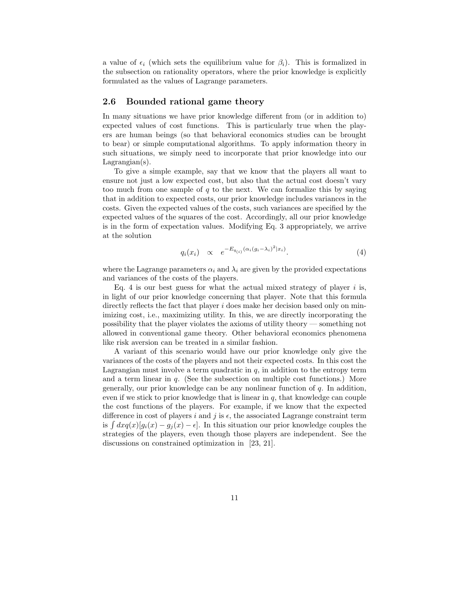a value of  $\epsilon_i$  (which sets the equilibrium value for  $\beta_i$ ). This is formalized in the subsection on rationality operators, where the prior knowledge is explicitly formulated as the values of Lagrange parameters.

## **2.6 Bounded rational game theory**

In many situations we have prior knowledge different from (or in addition to) expected values of cost functions. This is particularly true when the players are human beings (so that behavioral economics studies can be brought to bear) or simple computational algorithms. To apply information theory in such situations, we simply need to incorporate that prior knowledge into our Lagrangian(s).

To give a simple example, say that we know that the players all want to ensure not just a low expected cost, but also that the actual cost doesn't vary too much from one sample of  $q$  to the next. We can formalize this by saying that in addition to expected costs, our prior knowledge includes variances in the costs. Given the expected values of the costs, such variances are specified by the expected values of the squares of the cost. Accordingly, all our prior knowledge is in the form of expectation values. Modifying Eq. 3 appropriately, we arrive at the solution

$$
q_i(x_i) \propto e^{-E_{q_{(i)}}(\alpha_i(g_i-\lambda_i)^2|x_i)}.
$$
\n(4)

where the Lagrange parameters  $\alpha_i$  and  $\lambda_i$  are given by the provided expectations and variances of the costs of the players.

Eq. 4 is our best guess for what the actual mixed strategy of player  $i$  is, in light of our prior knowledge concerning that player. Note that this formula directly reflects the fact that player  $i$  does make her decision based only on minimizing cost, i.e., maximizing utility. In this, we are directly incorporating the possibility that the player violates the axioms of utility theory — something not allowed in conventional game theory. Other behavioral economics phenomena like risk aversion can be treated in a similar fashion.

A variant of this scenario would have our prior knowledge only give the variances of the costs of the players and not their expected costs. In this cost the Lagrangian must involve a term quadratic in  $q$ , in addition to the entropy term and a term linear in q. (See the subsection on multiple cost functions.) More generally, our prior knowledge can be any nonlinear function of q. In addition, even if we stick to prior knowledge that is linear in  $q$ , that knowledge can couple the cost functions of the players. For example, if we know that the expected difference in cost of players i and j is  $\epsilon$ , the associated Lagrange constraint term is  $\int dx q(x)[g_i(x) - g_j(x) - \epsilon]$ . In this situation our prior knowledge couples the strategies of the players, even though those players are independent. See the discussions on constrained optimization in [23, 21].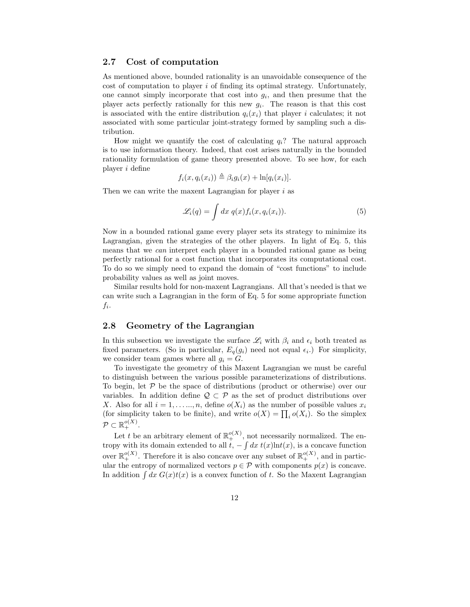## **2.7 Cost of computation**

As mentioned above, bounded rationality is an unavoidable consequence of the cost of computation to player i of finding its optimal strategy. Unfortunately, one cannot simply incorporate that cost into  $g_i$ , and then presume that the player acts perfectly rationally for this new  $g_i$ . The reason is that this cost is associated with the entire distribution  $q_i(x_i)$  that player i calculates; it not associated with some particular joint-strategy formed by sampling such a distribution.

How might we quantify the cost of calculating  $q_i$ ? The natural approach is to use information theory. Indeed, that cost arises naturally in the bounded rationality formulation of game theory presented above. To see how, for each player i define

$$
f_i(x, q_i(x_i)) \triangleq \beta_i g_i(x) + \ln[q_i(x_i)].
$$

Then we can write the maxent Lagrangian for player  $i$  as

$$
\mathcal{L}_i(q) = \int dx \, q(x) f_i(x, q_i(x_i)). \tag{5}
$$

Now in a bounded rational game every player sets its strategy to minimize its Lagrangian, given the strategies of the other players. In light of Eq. 5, this means that we *can* interpret each player in a bounded rational game as being perfectly rational for a cost function that incorporates its computational cost. To do so we simply need to expand the domain of "cost functions" to include probability values as well as joint moves.

Similar results hold for non-maxent Lagrangians. All that's needed is that we can write such a Lagrangian in the form of Eq. 5 for some appropriate function  $f_i$ .

## **2.8 Geometry of the Lagrangian**

In this subsection we investigate the surface  $\mathscr{L}_i$  with  $\beta_i$  and  $\epsilon_i$  both treated as fixed parameters. (So in particular,  $E_q(g_i)$  need not equal  $\epsilon_i$ .) For simplicity, we consider team games where all  $q_i = G$ .

To investigate the geometry of this Maxent Lagrangian we must be careful to distinguish between the various possible parameterizations of distributions. To begin, let  $P$  be the space of distributions (product or otherwise) over our variables. In addition define  $\mathcal{Q} \subset \mathcal{P}$  as the set of product distributions over X. Also for all  $i = 1, \ldots, n$ , define  $o(X_i)$  as the number of possible values  $x_i$ (for simplicity taken to be finite), and write  $o(X) = \prod_i o(X_i)$ . So the simplex  $\mathcal{D} \subset \mathbb{R}^{o(X)}$  $\mathcal{P} \subset \mathbb{R}^{o(X)}_+.$ 

Let t be an arbitrary element of  $\mathbb{R}^{\circ(X)}_+$ , not necessarily normalized. The entropy with its domain extended to all  $t$ ,  $-\int dx t(x) \ln t(x)$ , is a concave function over  $\mathbb{R}^{o(X)}_+$ . Therefore it is also concave over any subset of  $\mathbb{R}^{o(X)}_+$ , and in particular the entropy of normalized vectors  $p \in \mathcal{P}$  with components  $p(x)$  is concave. In addition  $\int dx G(x)t(x)$  is a convex function of t. So the Maxent Lagrangian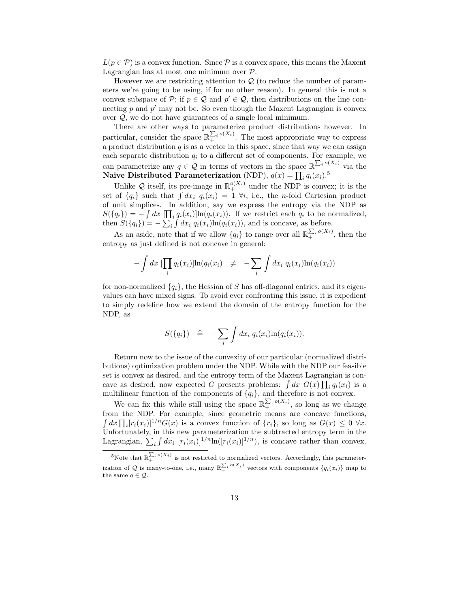$L(p \in \mathcal{P})$  is a convex function. Since  $\mathcal P$  is a convex space, this means the Maxent Lagrangian has at most one minimum over P.

However we are restricting attention to  $\mathcal{Q}$  (to reduce the number of parameters we're going to be using, if for no other reason). In general this is not a convex subspace of P; if  $p \in \mathcal{Q}$  and  $p' \in \mathcal{Q}$ , then distributions on the line connecting  $p$  and  $p'$  may not be. So even though the Maxent Lagrangian is convex over Q, we do not have guarantees of a single local minimum.

There are other ways to parameterize product distributions however. In particular, consider the space  $\mathbb{R}_+^{\sum_i o(X_i)}$ . The most appropriate way to express a product distribution  $q$  is as a vector in this space, since that way we can assign each separate distribution  $q_i$  to a different set of components. For example, we can parameterize any  $q \in \mathcal{Q}$  in terms of vectors in the space  $\mathbb{R}^{\sum_i o(X_i)}_+$  via the **Naive Distributed Parameterization** (NDP),  $q(x) = \prod_i q_i(x_i)$ .<sup>5</sup>

Unlike Q itself, its pre-image in  $\mathbb{R}^{o(X_i)}_+$  under the NDP is convex; it is the set of  $\{q_i\}$  such that  $\int dx_i q_i(x_i) = 1 \forall i$ , i.e., the n-fold Cartesian product of unit simplices. In addition, say we express the entropy via the NDP as  $S(\{q_i\}) = -\int dx \prod_i q_i(x_i) \ln(q_i(x_i))$ . If we restrict each  $q_i$  to be normalized,<br>then  $S(f, g, \lambda) = -\sum_i \int dx_i g_i(x_i) \ln(q_i(x_i))$  and is concave as before then  $S({q_i}) = -\sum_i \int dx_i q_i(x_i) \ln(q_i(x_i))$ , and is concave, as before.

As an aside, note that if we allow  $\{q_i\}$  to range over all  $\mathbb{R}_+^{\sum_i o(X_i)}$ , then the entropy as just defined is not concave in general:

$$
- \int dx \, [\prod_i q_i(x_i)] \ln(q_i(x_i) \quad \neq \quad - \sum_i \int dx_i \, q_i(x_i) \ln(q_i(x_i))
$$

for non-normalized  $\{q_i\}$ , the Hessian of S has off-diagonal entries, and its eigenvalues can have mixed signs. To avoid ever confronting this issue, it is expedient to simply redefine how we extend the domain of the entropy function for the NDP, as

$$
S({q_i}) \triangleq -\sum_i \int dx_i \, q_i(x_i) \ln(q_i(x_i)).
$$

Return now to the issue of the convexity of our particular (normalized distributions) optimization problem under the NDP. While with the NDP our feasible set is convex as desired, and the entropy term of the Maxent Lagrangian is concave as desired, now expected G presents problems:  $\int dx G(x) \prod_i q_i(x_i)$  is a multilinear function of the components of  $a \lambda$  and therefore is not convex multilinear function of the components of  $\{q_i\}$ , and therefore is not convex.

We can fix this while still using the space  $\mathbb{R}_+^{\sum_i o(X_i)}$ , so long as we change from the NDP. For example, since geometric means are concave functions,  $\int dx \prod_i [r_i(x_i)]^{1/n} G(x)$  is a convex function of  $\{r_i\}$ , so long as  $G(x) \leq 0 \ \forall x$ .<br>Unfortunately in this new parameterization the subtracted entropy term in the Unfortunately, in this new parameterization the subtracted entropy term in the Lagrangian,  $\sum_i \int dx_i$   $[r_i(x_i)]^{1/n} \ln([r_i(x_i)]^{1/n})$ , is concave rather than convex. i

<sup>&</sup>lt;sup>5</sup>Note that  $\mathbb{R}^{\sum_i o(X_i)}_+$  is not resticted to normalized vectors. Accordingly, this parameterization of Q is many-to-one, i.e., many  $\mathbb{R}_+^{\sum_i o(X_i)}$  vectors with components  $\{q_i(x_i)\}\$  map to the same  $q \in \mathcal{Q}$ .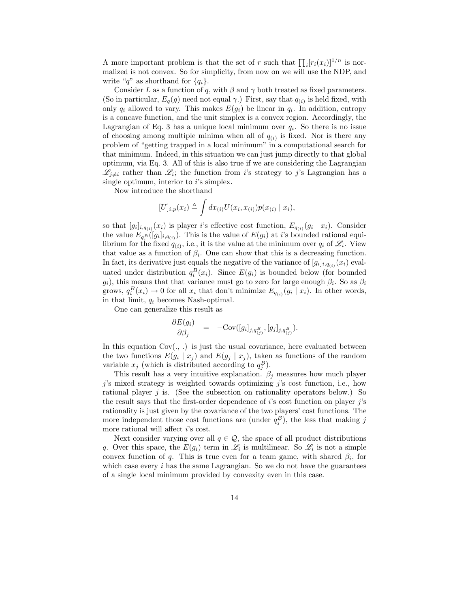A more important problem is that the set of r such that  $\prod_i [r_i(x_i)]^{1/n}$  is nor-<br>malized is not convex. So for simplicity, from now on we will use the NDP and malized is not convex. So for simplicity, from now on we will use the NDP, and write "q" as shorthand for  ${q_i}$ .

Consider L as a function of q, with  $\beta$  and  $\gamma$  both treated as fixed parameters. (So in particular,  $E_q(g)$  need not equal  $\gamma$ .) First, say that  $q_{(i)}$  is held fixed, with only  $q_i$  allowed to vary. This makes  $E(q_i)$  be linear in  $q_i$ . In addition, entropy is a concave function, and the unit simplex is a convex region. Accordingly, the Lagrangian of Eq. 3 has a unique local minimum over  $q_i$ . So there is no issue of choosing among multiple minima when all of  $q_{(i)}$  is fixed. Nor is there any problem of "getting trapped in a local minimum" in a computational search for that minimum. Indeed, in this situation we can just jump directly to that global optimum, via Eq. 3. All of this is also true if we are considering the Lagrangian  $\mathscr{L}_{i\neq i}$  rather than  $\mathscr{L}_i$ ; the function from *i*'s strategy to *j*'s Lagrangian has a single optimum, interior to *i*'s simplex.

Now introduce the shorthand

$$
[U]_{i,p}(x_i) \triangleq \int dx_{(i)} U(x_i, x_{(i)}) p(x_{(i)} | x_i),
$$

so that  $[g_i]_{i,q_{(i)}}(x_i)$  is player i's effective cost function,  $E_{q_{(i)}}(g_i | x_i)$ . Consider the value  $E_{q^B}([g_i]_{i,q(i)})$ . This is the value of  $E(g_i)$  at i's bounded rational equi-<br>librium for the fixed  $g_{i,j}$  i.e., it is the value at the minimum over  $g_i$  of  $\mathscr{C}$ . View librium for the fixed  $q_i$ , i.e., it is the value at the minimum over  $q_i$  of  $\mathscr{L}_i$ . View that value as a function of  $\beta_i$ . One can show that this is a decreasing function. In fact, its derivative just equals the negative of the variance of  $[g_i]_{i,q(i)}(x_i)$  evaluated under distribution  $q_t^B(x_i)$ . Since  $E(g_i)$  is bounded below (for bounded a) this means that that variance must go to zero for large enough  $\beta$ . So as  $\beta$ .  $g_i$ ), this means that that variance must go to zero for large enough  $\beta_i$ . So as  $\beta_i$ grows,  $q_i^B(x_i) \to 0$  for all  $x_i$  that don't minimize  $E_{q(i)}(g_i | x_i)$ . In other words, in that limit,  $q_i$  becomes Nash-optimal.

One can generalize this result as

$$
\frac{\partial E(g_i)}{\partial \beta_j} = -\text{Cov}([g_i]_{j,q_{(j)}^B}, [g_j]_{j,q_{(j)}^B}).
$$

In this equation  $Cov(., .)$  is just the usual covariance, here evaluated between the two functions  $E(g_i | x_j)$  and  $E(g_j | x_j)$ , taken as functions of the random variable  $x_j$  (which is distributed according to  $q_j^B$ ).<br>This result has a very intuitive explanation  $\beta$ 

This result has a very intuitive explanation.  $\beta_j$  measures how much player  $j$ 's mixed strategy is weighted towards optimizing  $j$ 's cost function, i.e., how rational player  $j$  is. (See the subsection on rationality operators below.) So the result says that the first-order dependence of  $i$ 's cost function on player  $j$ 's rationality is just given by the covariance of the two players' cost functions. The more independent those cost functions are (under  $q_j^B$ ), the less that making j<br>more rational will affect i's cost more rational will affect *i*'s cost.

Next consider varying over all  $q \in \mathcal{Q}$ , the space of all product distributions q. Over this space, the  $E(g_i)$  term in  $\mathscr{L}_i$  is multilinear. So  $\mathscr{L}_i$  is not a simple convex function of q. This is true even for a team game, with shared  $\beta_i$ , for which case every  $i$  has the same Lagrangian. So we do not have the guarantees of a single local minimum provided by convexity even in this case.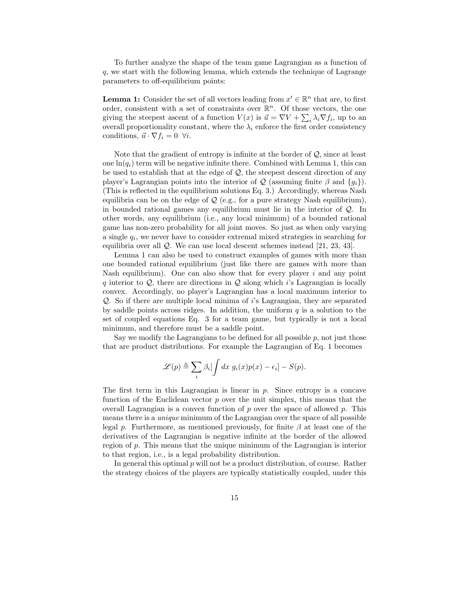To further analyze the shape of the team game Lagrangian as a function of q, we start with the following lemma, which extends the technique of Lagrange parameters to off-equilibrium points:

**Lemma 1:** Consider the set of all vectors leading from  $x' \in \mathbb{R}^n$  that are, to first order, consistent with a set of constraints over  $\mathbb{R}^n$ . Of those vectors, the one giving the steepest ascent of a function  $V(x)$  is  $\vec{u} = \nabla V + \sum_i \lambda_i \nabla f_i$ , up to an overall proportionality constant, where the  $\lambda_i$  enforce the first order consistency overall proportionality constant, where the  $\lambda_i$  enforce the first order consistency conditions,  $\vec{u} \cdot \nabla f_i = 0 \ \forall i$ .

Note that the gradient of entropy is infinite at the border of  $Q$ , since at least one  $\ln(q_i)$  term will be negative infinite there. Combined with Lemma 1, this can be used to establish that at the edge of  $Q$ , the steepest descent direction of any player's Lagrangian points into the interior of  $\mathcal{Q}$  (assuming finite  $\beta$  and  $\{q_i\}$ ). (This is reflected in the equilibrium solutions Eq. 3.) Accordingly, whereas Nash equilibria can be on the edge of  $\mathcal{Q}$  (e.g., for a pure strategy Nash equilibrium), in bounded rational games any equilibrium must lie in the interior of Q. In other words, any equilibrium (i.e., any local minimum) of a bounded rational game has non-zero probability for all joint moves. So just as when only varying a single  $q_i$ , we never have to consider extremal mixed strategies in searching for equilibria over all Q. We can use local descent schemes instead [21, 23, 43].

Lemma 1 can also be used to construct examples of games with more than one bounded rational equilibrium (just like there are games with more than Nash equilibrium). One can also show that for every player  $i$  and any point q interior to  $Q$ , there are directions in  $Q$  along which i's Lagrangian is locally convex. Accordingly, no player's Lagrangian has a local maximum interior to  $Q$ . So if there are multiple local minima of i's Lagrangian, they are separated by saddle points across ridges. In addition, the uniform  $q$  is a solution to the set of coupled equations Eq. 3 for a team game, but typically is not a local minimum, and therefore must be a saddle point.

Say we modify the Lagrangians to be defined for all possible  $p$ , not just those that are product distributions. For example the Lagrangian of Eq. 1 becomes

$$
\mathscr{L}(p) \triangleq \sum_{i} \beta_i [\int dx \ g_i(x) p(x) - \epsilon_i] - S(p).
$$

The first term in this Lagrangian is linear in  $p$ . Since entropy is a concave function of the Euclidean vector  $p$  over the unit simplex, this means that the overall Lagrangian is a convex function of  $p$  over the space of allowed  $p$ . This means there is a *unique* minimum of the Lagrangian over the space of all possible legal p. Furthermore, as mentioned previously, for finite  $\beta$  at least one of the derivatives of the Lagrangian is negative infinite at the border of the allowed region of p. This means that the unique minimum of the Lagrangian is interior to that region, i.e., is a legal probability distribution.

In general this optimal  $p$  will not be a product distribution, of course. Rather the strategy choices of the players are typically statistically coupled, under this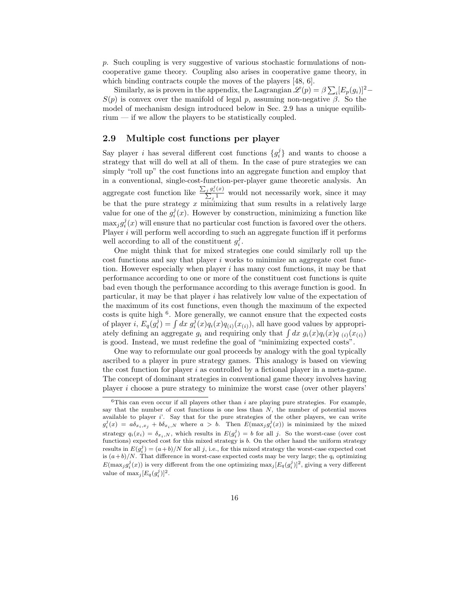p. Such coupling is very suggestive of various stochastic formulations of noncooperative game theory. Coupling also arises in cooperative game theory, in which binding contracts couple the moves of the players [48, 6].

Similarly, as is proven in the appendix, the Lagrangian  $\mathcal{L}(p) = \beta \sum_i [E_p(g_i)]^2 -$ <br>i) is convex over the manifold of legal *n* assuming pop-persitive  $\beta$ . So the  $S(p)$  is convex over the manifold of legal p, assuming non-negative  $\beta$ . So the model of mechanism design introduced below in Sec. 2.9 has a unique equilib $rium$  — if we allow the players to be statistically coupled.

## **2.9 Multiple cost functions per player**

Say player *i* has several different cost functions  $\{g_i^j\}$  and wants to choose a strategies we can strategy that will do well at all of them. In the case of pure strategies we can simply "roll up" the cost functions into an aggregate function and employ that in a conventional, single-cost-function-per-player game theoretic analysis. An aggregate cost function like  $\frac{\sum_j g_i^j(x)}{\sum_j 1}$  would not necessarily work, since it may be that the pure strategy x minimizing that sum results in a relatively large value for one of the  $g_i^j(x)$ . However by construction, minimizing a function like  $\max_j g_i^j(x)$  will ensure that no particular cost function is favored over the others.<br>Player i will perform well according to such an aggregate function iff it performs Player  $i$  will perform well according to such an aggregate function iff it performs well according to all of the constituent  $g_i^j$ .<br>One might think that for mixed strat

One might think that for mixed strategies one could similarly roll up the  $\cot$  functions and say that player i works to minimize an aggregate cost function. However especially when player  $i$  has many cost functions, it may be that performance according to one or more of the constituent cost functions is quite bad even though the performance according to this average function is good. In particular, it may be that player i has relatively low value of the expectation of the maximum of its cost functions, even though the maximum of the expected costs is quite high <sup>6</sup>. More generally, we cannot ensure that the expected costs of player i,  $E_q(g_i^j) = \int dx \ g_i^j(x) q_i(x) q_{(i)}(x_{(i)})$ , all have good values by appropri-<br>ately defining an aggregate quantity counting only that  $\int dx \ g_i(x) q_i(x) q_{(i)}(x_{(i)})$ ately defining an aggregate  $g_i$  and requiring only that  $\int dx g_i(x)q_i(x)q_{i}(x(i))$ <br>is good. Instead, we must redefine the goal of "minimizing expected easts" is good. Instead, we must redefine the goal of "minimizing expected costs".

One way to reformulate our goal proceeds by analogy with the goal typically ascribed to a player in pure strategy games. This analogy is based on viewing the cost function for player  $i$  as controlled by a fictional player in a meta-game. The concept of dominant strategies in conventional game theory involves having player i choose a pure strategy to minimize the worst case (over other players'

 $6$ This can even occur if all players other than i are playing pure strategies. For example, say that the number of cost functions is one less than  $N$ , the number of potential moves available to player *i*. Say that for the pure strategies of the other players, we can write  $g_i^j(x) = a\delta_{x_i,x_j} + b\delta_{x_i,N}$  where  $a > b$ . Then  $E(\max_j g_i^j(x))$  is minimized by the mixed strategy  $q_i(x_i) = \delta_{x_i,N}$ , which results in  $E(g_i^j) = b$  for all j. So the worst-case (over cost functions) expected cost for this mixed strategy is b. On the other hand the uniform strategy functions) expected cost for this mixed strategy is  $b$ . On the other hand the uniform strategy results in  $E(g_i^j) = (a+b)/N$  for all j, i.e., for this mixed strategy the worst-case expected cost is  $(a+b)/N$ . That difference in worst-case expected costs may be very large; the  $q_i$  optimizing  $E(\max_j g_i^j(x))$  is very different from the one optimizing  $\max_j [E_q(g_i^j)]^2$ , giving a very different value of  $\max_j [E_q(g_i^j)]^2$ .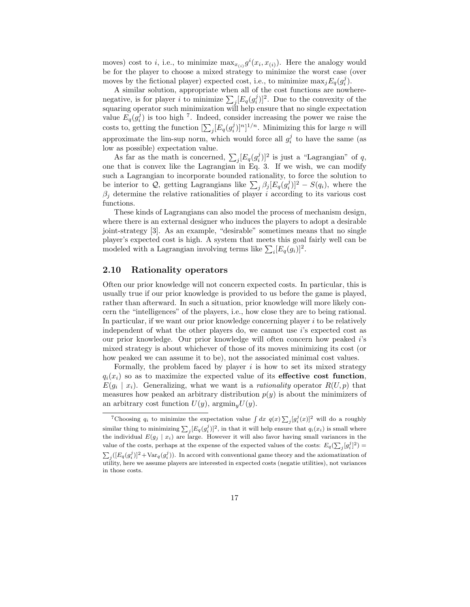moves) cost to *i*, i.e., to minimize  $\max_{x_{(i)}} g^i(x_i, x_{(i)})$ . Here the analogy would be for the player to choose a mixed strategy to minimize the worst case (over moves by the fictional player) expected cost, i.e., to minimize  $\max_j E_q(g_i^j)$ .<br>A similar solution, appropriate when all of the cost functions are now

A similar solution, appropriate when all of the cost functions are nowherenegative, is for player *i* to minimize  $\sum_{j} [E_q(g_i^j)]^2$ . Due to the convexity of the squaring operator such minimization will be possible that no single expectation squaring operator such minimization will help ensure that no single expectation value  $E_q(g_i^j)$  is too high <sup>7</sup>. Indeed, consider increasing the power we raise the costs to, getting the function  $[\sum_j [E_q(g_i^j)]^n]^{1/n}$ . Minimizing this for large n will approximate the lim-sup norm, which would force all  $g_i^j$  to have the same (as low as possible) expectation value low as possible) expectation value.

As far as the math is concerned,  $\sum_{j} [E_q(g_i^j)]^2$  is just a "Lagrangian" of q,<br>that is convex like the Lagrangian in Eq. 3. If we wish we can modify one that is convex like the Lagrangian in Eq. 3. If we wish, we can modify such a Lagrangian to incorporate bounded rationality, to force the solution to be interior to Q, getting Lagrangians like  $\sum_j \beta_j [E_q(q_i^j)]^2 - S(q_i)$ , where the  $\beta$ , determine the relative rationalities of player *i* according to its various cost  $\beta_j$  determine the relative rationalities of player *i* according to its various cost functions.

These kinds of Lagrangians can also model the process of mechanism design, where there is an external designer who induces the players to adopt a desirable joint-strategy [3]. As an example, "desirable" sometimes means that no single player's expected cost is high. A system that meets this goal fairly well can be modeled with a Lagrangian involving terms like  $\sum_i [E_q(g_i)]^2$ .

## **2.10 Rationality operators**

Often our prior knowledge will not concern expected costs. In particular, this is usually true if our prior knowledge is provided to us before the game is played, rather than afterward. In such a situation, prior knowledge will more likely concern the "intelligences" of the players, i.e., how close they are to being rational. In particular, if we want our prior knowledge concerning player  $i$  to be relatively independent of what the other players do, we cannot use  $i$ 's expected cost as our prior knowledge. Our prior knowledge will often concern how peaked i's mixed strategy is about whichever of those of its moves minimizing its cost (or how peaked we can assume it to be), not the associated minimal cost values.

Formally, the problem faced by player  $i$  is how to set its mixed strategy  $q_i(x_i)$  so as to maximize the expected value of its **effective cost function**,  $E(q_i \mid x_i)$ . Generalizing, what we want is a *rationality* operator  $R(U, p)$  that measures how peaked an arbitrary distribution  $p(y)$  is about the minimizers of an arbitrary cost function  $U(y)$ ,  $\operatorname{argmin}_y U(y)$ .

<sup>&</sup>lt;sup>7</sup>Choosing  $q_i$  to minimize the expectation value  $\int dx q(x) \sum_j [g_i^j(x)]^2$  will do a roughly similar thing to minimizing  $\sum_j [E_q(g_i^j)]^2$ , in that it will help ensure that  $q_i(x_i)$  is small where the individual  $E(g_j \mid x_i)$  are large. However it will also favor having small variances in the value of the costs, perhaps at the expense of the expected values of the costs:  $E_q(\sum_j [g_i^j]^2)$  =  $\sum_{j} ([E_q(g_i^j)]^2 + \text{Var}_q(g_i^j))$ . In accord with conventional game theory and the axiomatization of utility, here we assume players are interested in expected costs (negatie utilities), not variances in those costs.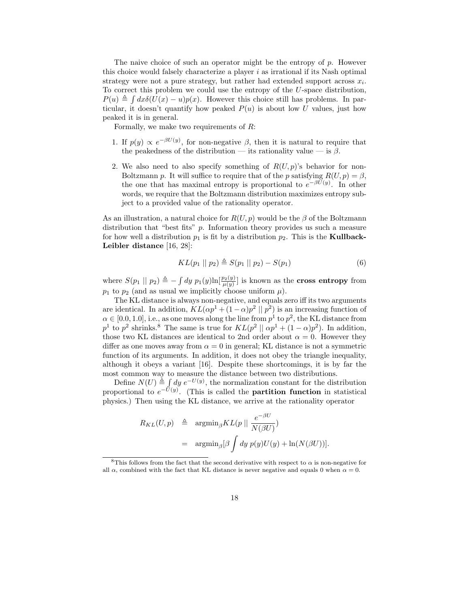The naive choice of such an operator might be the entropy of  $p$ . However this choice would falsely characterize a player  $i$  as irrational if its Nash optimal strategy were not a pure strategy, but rather had extended support across  $x_i$ . To correct this problem we could use the entropy of the U-space distribution,  $P(u) \triangleq \int dx \delta(U(x) - u)p(x)$ . However this choice still has problems. In particular, it doesn't quantify how peaked  $P(u)$  is about low U values, just how peaked it is in general.

Formally, we make two requirements of R:

- 1. If  $p(y) \propto e^{-\beta U(y)}$ , for non-negative  $\beta$ , then it is natural to require that the peakedness of the distribution — its rationality value — is  $\beta$ .
- 2. We also need to also specify something of  $R(U, p)$ 's behavior for non-Boltzmann p. It will suffice to require that of the p satisfying  $R(U, p) = \beta$ , the one that has maximal entropy is proportional to  $e^{-\beta U(y)}$ . In other words, we require that the Boltzmann distribution maximizes entropy subject to a provided value of the rationality operator.

As an illustration, a natural choice for  $R(U, p)$  would be the  $\beta$  of the Boltzmann distribution that "best fits" p. Information theory provides us such a measure for how well a distribution  $p_1$  is fit by a distribution  $p_2$ . This is the **Kullback-Leibler distance** [16, 28]:

$$
KL(p_1 \mid p_2) \triangleq S(p_1 \mid p_2) - S(p_1) \tag{6}
$$

where  $S(p_1 \mid p_2) \triangleq -\int dy \ p_1(y) \ln[\frac{p_2(y)}{\mu(y)}]$  is known as the **cross entropy** from  $p_1$  to  $p_2$  (and as usual we implicitly choose uniform  $\mu$ ).

The KL distance is always non-negative, and equals zero iff its two arguments are identical. In addition,  $KL(\alpha p^1 + (1 - \alpha)p^2 || p^2)$  is an increasing function of  $\alpha \in [0.0, 1.0],$  i.e., as one moves along the line from  $p^1$  to  $p^2$ , the KL distance from  $p^{1}$  to  $p^{2}$  shrinks.<sup>8</sup> The same is true for  $KL(p^{2} || \alpha p^{1} + (1 - \alpha)p^{2})$ . In addition, those two KL distances are identical to 2nd order about  $\alpha = 0$ . However they differ as one moves away from  $\alpha = 0$  in general; KL distance is not a symmetric function of its arguments. In addition, it does not obey the triangle inequality, although it obeys a variant [16]. Despite these shortcomings, it is by far the most common way to measure the distance between two distributions.

Define  $N(U) \triangleq \int dy \, e^{-U(y)}$ , the normalization constant for the distribution proportional to  $e^{-U(y)}$ . (This is called the **partition function** in statistical physics.) Then using the KL distance, we arrive at the rationality operator

$$
R_{KL}(U, p) \triangleq \operatorname{argmin}_{\beta} KL(p || \frac{e^{-\beta U}}{N(\beta U)})
$$
  
= 
$$
\operatorname{argmin}_{\beta} [\beta \int dy \ p(y)U(y) + \ln(N(\beta U))].
$$

<sup>&</sup>lt;sup>8</sup>This follows from the fact that the second derivative with respect to  $\alpha$  is non-negative for all  $\alpha$ , combined with the fact that KL distance is never negative and equals 0 when  $\alpha = 0$ .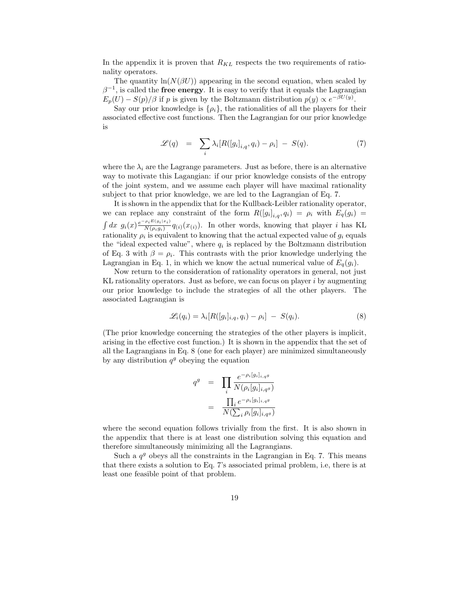In the appendix it is proven that  $R_{KL}$  respects the two requirements of rationality operators.

The quantity  $\ln(N(\beta U))$  appearing in the second equation, when scaled by  $\beta^{-1}$ , is called the **free energy**. It is easy to verify that it equals the Lagrangian  $E_p(U) - S(p)/\beta$  if p is given by the Boltzmann distribution  $p(y) \propto e^{-\beta U(y)}$ .

Say our prior knowledge is  $\{\rho_i\}$ , the rationalities of all the players for their associated effective cost functions. Then the Lagrangian for our prior knowledge is

$$
\mathscr{L}(q) = \sum_{i} \lambda_i [R([g_i]_{i,q}, q_i) - \rho_i] - S(q). \tag{7}
$$

where the  $\lambda_i$  are the Lagrange parameters. Just as before, there is an alternative way to motivate this Lagangian: if our prior knowledge consists of the entropy of the joint system, and we assume each player will have maximal rationality subject to that prior knowledge, we are led to the Lagrangian of Eq. 7.

It is shown in the appendix that for the Kullback-Leibler rationality operator, we can replace any constraint of the form  $R([g_i]_{i,q}, q_i) = \rho_i$  with  $E_q(g_i) =$  $\int dx \ g_i(x) \frac{e^{-\rho_i E(g_i|x_i)}}{N(\rho_i g_i)} q_{(i)}(x_{(i)})$ . In other words, knowing that player *i* has KL rationality  $\rho_i$  is equivalent to knowing that the actual expected value of  $g_i$  equals the "ideal expected value", where  $q_i$  is replaced by the Boltzmann distribution of Eq. 3 with  $\beta = \rho_i$ . This contrasts with the prior knowledge underlying the Lagrangian in Eq. 1, in which we know the actual numerical value of  $E_q(g_i)$ .

Now return to the consideration of rationality operators in general, not just KL rationality operators. Just as before, we can focus on player  $i$  by augmenting our prior knowledge to include the strategies of all the other players. The associated Lagrangian is

$$
\mathscr{L}_i(q_i) = \lambda_i [R([g_i]_{i,q}, q_i) - \rho_i] - S(q_i). \tag{8}
$$

(The prior knowledge concerning the strategies of the other players is implicit, arising in the effective cost function.) It is shown in the appendix that the set of all the Lagrangians in Eq. 8 (one for each player) are minimized simultaneously by any distribution  $q<sup>g</sup>$  obeying the equation

$$
q^{g} = \prod_{i} \frac{e^{-\rho_i[g_i]_{i,qg}}}{N(\rho_i[g_i]_{i,qg})}
$$

$$
= \frac{\prod_{i} e^{-\rho_i[g_i]_{i,qg}}}{N(\sum_{i} \rho_i[g_i]_{i,qg})}
$$

where the second equation follows trivially from the first. It is also shown in the appendix that there is at least one distribution solving this equation and therefore simultaneously minimizing all the Lagrangians.

Such a  $q<sup>g</sup>$  obeys all the constraints in the Lagrangian in Eq. 7. This means that there exists a solution to Eq. 7's associated primal problem, i.e, there is at least one feasible point of that problem.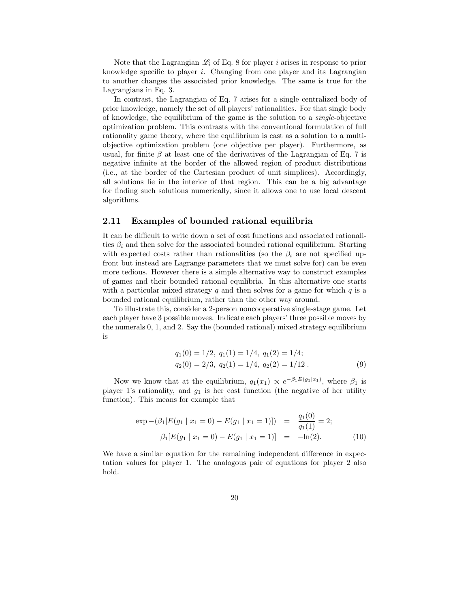Note that the Lagrangian  $\mathscr{L}_i$  of Eq. 8 for player i arises in response to prior knowledge specific to player i. Changing from one player and its Lagrangian to another changes the associated prior knowledge. The same is true for the Lagrangians in Eq. 3.

In contrast, the Lagrangian of Eq. 7 arises for a single centralized body of prior knowledge, namely the set of all players' rationalities. For that single body of knowledge, the equilibrium of the game is the solution to a *single*-objective optimization problem. This contrasts with the conventional formulation of full rationality game theory, where the equilibrium is cast as a solution to a multiobjective optimization problem (one objective per player). Furthermore, as usual, for finite  $\beta$  at least one of the derivatives of the Lagrangian of Eq. 7 is negative infinite at the border of the allowed region of product distributions (i.e., at the border of the Cartesian product of unit simplices). Accordingly, all solutions lie in the interior of that region. This can be a big advantage for finding such solutions numerically, since it allows one to use local descent algorithms.

## **2.11 Examples of bounded rational equilibria**

It can be difficult to write down a set of cost functions and associated rationalities  $\beta_i$  and then solve for the associated bounded rational equilibrium. Starting with expected costs rather than rationalities (so the  $\beta_i$  are not specified upfront but instead are Lagrange parameters that we must solve for) can be even more tedious. However there is a simple alternative way to construct examples of games and their bounded rational equilibria. In this alternative one starts with a particular mixed strategy q and then solves for a game for which  $q$  is a bounded rational equilibrium, rather than the other way around.

To illustrate this, consider a 2-person noncooperative single-stage game. Let each player have 3 possible moves. Indicate each players' three possible moves by the numerals 0, 1, and 2. Say the (bounded rational) mixed strategy equilibrium is

$$
q_1(0) = 1/2, q_1(1) = 1/4, q_1(2) = 1/4;
$$
  
\n $q_2(0) = 2/3, q_2(1) = 1/4, q_2(2) = 1/12.$  (9)

Now we know that at the equilibrium,  $q_1(x_1) \propto e^{-\beta_1 E(g_1|x_1)}$ , where  $\beta_1$  is player 1's rationality, and  $g_1$  is her cost function (the negative of her utility function). This means for example that

$$
\exp -(\beta_1 [E(g_1 \mid x_1 = 0) - E(g_1 \mid x_1 = 1)]) = \frac{q_1(0)}{q_1(1)} = 2; \beta_1 [E(g_1 \mid x_1 = 0) - E(g_1 \mid x_1 = 1)] = -\ln(2).
$$
\n(10)

We have a similar equation for the remaining independent difference in expectation values for player 1. The analogous pair of equations for player 2 also hold.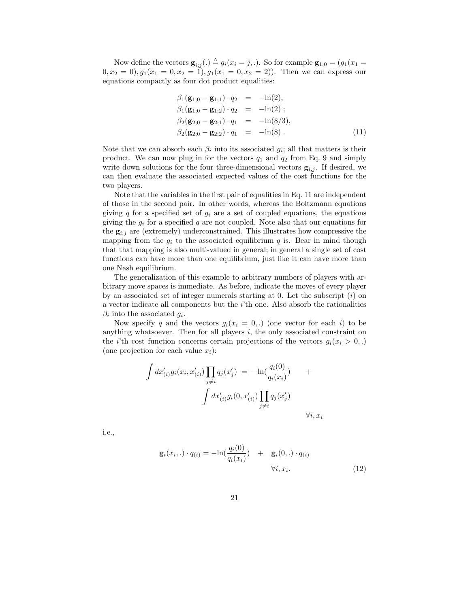Now define the vectors  $\mathbf{g}_{i;j}$  ( $j \geq g_i(x_i = j,.)$ ). So for example  $\mathbf{g}_{1;0} = (g_1(x_1 = j, ...)$   $g_i(x_1 = 0, x_2 = 1), g_i(x_2 = 0, x_3 = 2))$ . Then we can express our  $(0, x_2 = 0), g_1(x_1 = 0, x_2 = 1), g_1(x_1 = 0, x_2 = 2)$ . Then we can express our equations compactly as four dot product equalities:

$$
\beta_1(\mathbf{g}_{1;0} - \mathbf{g}_{1;1}) \cdot q_2 = -\ln(2), \n\beta_1(\mathbf{g}_{1;0} - \mathbf{g}_{1;2}) \cdot q_2 = -\ln(2) ; \n\beta_2(\mathbf{g}_{2;0} - \mathbf{g}_{2;1}) \cdot q_1 = -\ln(8/3), \n\beta_2(\mathbf{g}_{2;0} - \mathbf{g}_{2;2}) \cdot q_1 = -\ln(8) .
$$
\n(11)

Note that we can absorb each  $\beta_i$  into its associated  $g_i$ ; all that matters is their product. We can now plug in for the vectors  $q_1$  and  $q_2$  from Eq. 9 and simply write down solutions for the four three-dimensional vectors  $\mathbf{g}_{i,j}$ . If desired, we can then evaluate the associated expected values of the cost functions for the two players.

Note that the variables in the first pair of equalities in Eq. 11 are independent of those in the second pair. In other words, whereas the Boltzmann equations giving q for a specified set of  $g_i$  are a set of coupled equations, the equations giving the  $g_i$  for a specified  $q$  are not coupled. Note also that our equations for the  $g_{i,j}$  are (extremely) underconstrained. This illustrates how compressive the mapping from the  $g_i$  to the associated equilibrium q is. Bear in mind though that that mapping is also multi-valued in general; in general a single set of cost functions can have more than one equilibrium, just like it can have more than one Nash equilibrium.

The generalization of this example to arbitrary numbers of players with arbitrary move spaces is immediate. As before, indicate the moves of every player by an associated set of integer numerals starting at 0. Let the subscript  $(i)$  on a vector indicate all components but the  $i$ <sup>th</sup> one. Also absorb the rationalities  $\beta_i$  into the associated  $g_i$ .

Now specify q and the vectors  $g_i(x_i = 0,.)$  (one vector for each i) to be anything whatsoever. Then for all players  $i$ , the only associated constraint on the *i*'th cost function concerns certain projections of the vectors  $g_i(x_i > 0,.)$ (one projection for each value  $x_i$ ):

$$
\int dx'_{(i)} g_i(x_i, x'_{(i)}) \prod_{j \neq i} q_j(x'_j) = -\ln(\frac{q_i(0)}{q_i(x_i)}) + \int dx'_{(i)} g_i(0, x'_{(i)}) \prod_{j \neq i} q_j(x'_j)
$$
  

$$
\forall i, x_i
$$

i.e.,

$$
\mathbf{g}_i(x_i,.) \cdot q_{(i)} = -\ln(\frac{q_i(0)}{q_i(x_i)}) + \mathbf{g}_i(0,.) \cdot q_{(i)}
$$
  

$$
\forall i, x_i.
$$
 (12)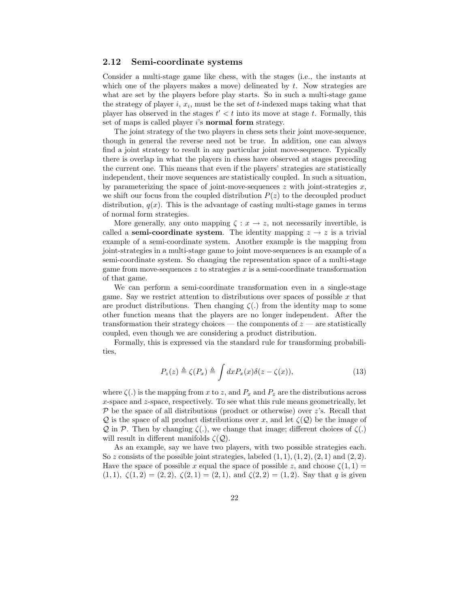## **2.12 Semi-coordinate systems**

Consider a multi-stage game like chess, with the stages (i.e., the instants at which one of the players makes a move) delineated by  $t$ . Now strategies are what are set by the players before play starts. So in such a multi-stage game the strategy of player  $i, x_i$ , must be the set of  $t$ -indexed maps taking what that player has observed in the stages  $t' < t$  into its move at stage t. Formally, this set of maps is called player i's **normal form** strategy.

The joint strategy of the two players in chess sets their joint move-sequence, though in general the reverse need not be true. In addition, one can always find a joint strategy to result in any particular joint move-sequence. Typically there is overlap in what the players in chess have observed at stages preceding the current one. This means that even if the players' strategies are statistically independent, their move sequences are statistically coupled. In such a situation, by parameterizing the space of joint-move-sequences  $z$  with joint-strategies  $x$ , we shift our focus from the coupled distribution  $P(z)$  to the decoupled product distribution,  $q(x)$ . This is the advantage of casting multi-stage games in terms of normal form strategies.

More generally, any onto mapping  $\zeta : x \to z$ , not necessarily invertible, is called a **semi-coordinate system**. The identity mapping  $z \rightarrow z$  is a trivial example of a semi-coordinate system. Another example is the mapping from joint-strategies in a multi-stage game to joint move-sequences is an example of a semi-coordinate system. So changing the representation space of a multi-stage game from move-sequences  $z$  to strategies  $x$  is a semi-coordinate transformation of that game.

We can perform a semi-coordinate transformation even in a single-stage game. Say we restrict attention to distributions over spaces of possible  $x$  that are product distributions. Then changing  $\zeta(.)$  from the identity map to some other function means that the players are no longer independent. After the transformation their strategy choices — the components of  $z$  — are statistically coupled, even though we are considering a product distribution.

Formally, this is expressed via the standard rule for transforming probabilities,

$$
P_z(z) \triangleq \zeta(P_x) \triangleq \int dx P_x(x)\delta(z-\zeta(x)),\tag{13}
$$

where  $\zeta(.)$  is the mapping from x to z, and  $P_x$  and  $P_z$  are the distributions across  $x$ -space and  $z$ -space, respectively. To see what this rule means geometrically, let  $\mathcal P$  be the space of all distributions (product or otherwise) over z's. Recall that Q is the space of all product distributions over x, and let  $\zeta(Q)$  be the image of  $\mathcal Q$  in  $\mathcal P$ . Then by changing  $\zeta(.)$ , we change that image; different choices of  $\zeta(.)$ will result in different manifolds  $\zeta(\mathcal{Q})$ .

As an example, say we have two players, with two possible strategies each. So z consists of the possible joint strategies, labeled  $(1, 1), (1, 2), (2, 1)$  and  $(2, 2)$ . Have the space of possible x equal the space of possible z, and choose  $\zeta(1,1)$  = (1, 1),  $\zeta(1,2) = (2,2), \, \zeta(2,1) = (2,1),$  and  $\zeta(2,2) = (1,2).$  Say that q is given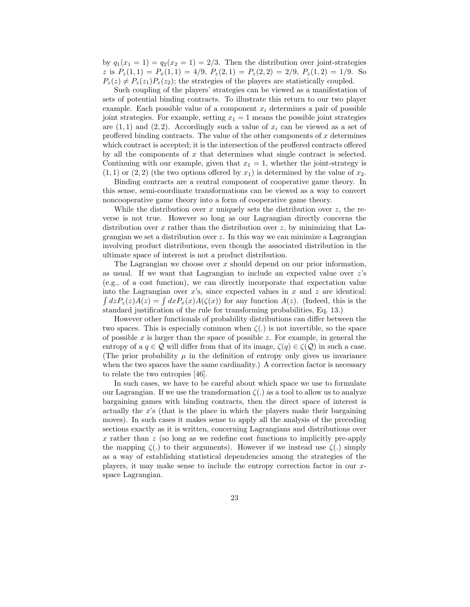by  $q_1(x_1 = 1) = q_2(x_2 = 1) = 2/3$ . Then the distribution over joint-strategies z is  $P_z(1,1) = P_x(1,1) = 4/9$ ,  $P_z(2,1) = P_z(2,2) = 2/9$ ,  $P_z(1,2) = 1/9$ . So  $P_z(z) \neq P_z(z_1)P_z(z_2)$ ; the strategies of the players are statistically coupled.

Such coupling of the players' strategies can be viewed as a manifestation of sets of potential binding contracts. To illustrate this return to our two player example. Each possible value of a component  $x_i$  determines a pair of possible joint strategies. For example, setting  $x_1 = 1$  means the possible joint strategies are  $(1, 1)$  and  $(2, 2)$ . Accordingly such a value of  $x_i$  can be viewed as a set of proffered binding contracts. The value of the other components of  $x$  determines which contract is accepted; it is the intersection of the proffered contracts offered by all the components of  $x$  that determines what single contract is selected. Continuing with our example, given that  $x_1 = 1$ , whether the joint-strategy is  $(1, 1)$  or  $(2, 2)$  (the two options offered by  $x_1$ ) is determined by the value of  $x_2$ .

Binding contracts are a central component of cooperative game theory. In this sense, semi-coordinate transformations can be viewed as a way to convert noncooperative game theory into a form of cooperative game theory.

While the distribution over x uniquely sets the distribution over  $z$ , the reverse is not true. However so long as our Lagrangian directly concerns the distribution over  $x$  rather than the distribution over  $z$ , by minimizing that Lagrangian we set a distribution over z. In this way we can minimize a Lagrangian involving product distributions, even though the associated distribution in the ultimate space of interest is not a product distribution.

The Lagrangian we choose over  $x$  should depend on our prior information, as usual. If we want that Lagrangian to include an expected value over z's (e.g., of a cost function), we can directly incorporate that expectation value into the Lagrangian over  $x$ 's, since expected values in  $x$  and  $z$  are identical:  $\int dz P_z(z)A(z) = \int dx P_x(x)A(\zeta(x))$  for any function  $A(z)$ . (Indeed, this is the standard institution of the nula for transforming probabilities. Eq. 12.) standard justification of the rule for transforming probabilities, Eq. 13.)

However other functionals of probability distributions can differ between the two spaces. This is especially common when  $\zeta(.)$  is not invertible, so the space of possible x is larger than the space of possible z. For example, in general the entropy of a  $q \in \mathcal{Q}$  will differ from that of its image,  $\zeta(q) \in \zeta(\mathcal{Q})$  in such a case. (The prior probability  $\mu$  in the definition of entropy only gives us invariance when the two spaces have the same cardinality.) A correction factor is necessary to relate the two entropies [46].

In such cases, we have to be careful about which space we use to formulate our Lagrangian. If we use the transformation  $\zeta(.)$  as a tool to allow us to analyze bargaining games with binding contracts, then the direct space of interest is actually the x's (that is the place in which the players make their bargaining moves). In such cases it makes sense to apply all the analysis of the preceding sections exactly as it is written, concerning Lagrangians and distributions over x rather than  $z$  (so long as we redefine cost functions to implicitly pre-apply the mapping  $\zeta(.)$  to their arguments). However if we instead use  $\zeta(.)$  simply as a way of establishing statistical dependencies among the strategies of the players, it may make sense to include the entropy correction factor in our xspace Lagrangian.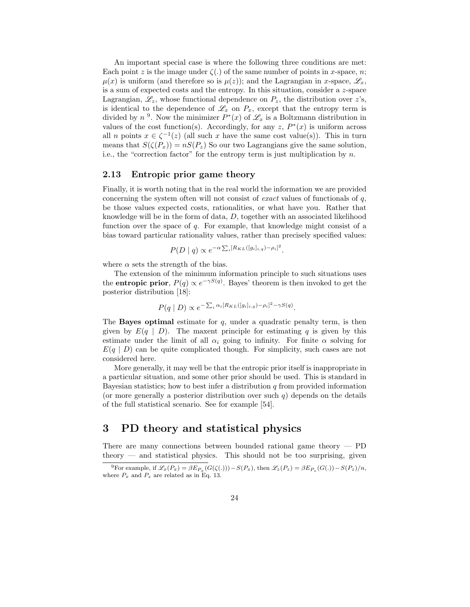An important special case is where the following three conditions are met: Each point z is the image under  $\zeta(.)$  of the same number of points in x-space, n;  $\mu(x)$  is uniform (and therefore so is  $\mu(z)$ ); and the Lagrangian in x-space,  $\mathscr{L}_x$ , is a sum of expected costs and the entropy. In this situation, consider a z-space Lagrangian,  $\mathscr{L}_z$ , whose functional dependence on  $P_z$ , the distribution over z's, is identical to the dependence of  $\mathscr{L}_x$  on  $P_x$ , except that the entropy term is divided by  $n^9$ . Now the minimizer  $P^*(x)$  of  $\mathscr{L}_x$  is a Boltzmann distribution in values of the cost function(s). Accordingly, for any  $z$ ,  $P^*(x)$  is uniform across all n points  $x \in \zeta^{-1}(z)$  (all such x have the same cost value(s)). This in turn means that  $S(\zeta(P_x)) = nS(P_z)$  So our two Lagrangians give the same solution, i.e., the "correction factor" for the entropy term is just multiplication by  $n$ .

## **2.13 Entropic prior game theory**

Finally, it is worth noting that in the real world the information we are provided concerning the system often will not consist of *exact* values of functionals of q, be those values expected costs, rationalities, or what have you. Rather that knowledge will be in the form of data, D, together with an associated likelihood function over the space of  $q$ . For example, that knowledge might consist of a bias toward particular rationality values, rather than precisely specified values:

$$
P(D | q) \propto e^{-\alpha \sum_i [R_{KL}([g_i]_{i,q}) - \rho_i]^2}.
$$

where  $\alpha$  sets the strength of the bias.

The extension of the minimum information principle to such situations uses the **entropic prior**,  $P(q) \propto e^{-\gamma S(q)}$ . Bayes' theorem is then invoked to get the posterior distribution [18]:

$$
P(q | D) \propto e^{-\sum_i \alpha_i [R_{KL}([g_i]_{i,q}) - \rho_i]^2 - \gamma S(q)}.
$$

The **Bayes optimal** estimate for q, under a quadratic penalty term, is then given by  $E(q | D)$ . The maxent principle for estimating q is given by this estimate under the limit of all  $\alpha_i$  going to infinity. For finite  $\alpha$  solving for  $E(q | D)$  can be quite complicated though. For simplicity, such cases are not considered here.

More generally, it may well be that the entropic prior itself is inappropriate in a particular situation, and some other prior should be used. This is standard in Bayesian statistics; how to best infer a distribution  $q$  from provided information (or more generally a posterior distribution over such  $q$ ) depends on the details of the full statistical scenario. See for example [54].

## **3 PD theory and statistical physics**

There are many connections between bounded rational game theory  $-$  PD  $theory$  — and statistical physics. This should not be too surprising, given

<sup>&</sup>lt;sup>9</sup>For example, if  $\mathscr{L}_x(P_x) = \beta E_{P_x}(G(\zeta(.))) - S(P_x)$ , then  $\mathscr{L}_z(P_z) = \beta E_{P_z}(G(.)) - S(P_z)/n$ , where  $P_x$  and  $P_z$  are related as in Eq. 13.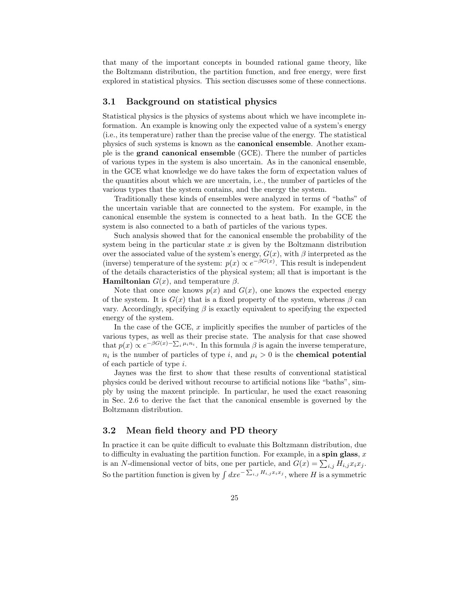that many of the important concepts in bounded rational game theory, like the Boltzmann distribution, the partition function, and free energy, were first explored in statistical physics. This section discusses some of these connections.

## **3.1 Background on statistical physics**

Statistical physics is the physics of systems about which we have incomplete information. An example is knowing only the expected value of a system's energy (i.e., its temperature) rather than the precise value of the energy. The statistical physics of such systems is known as the **canonical ensemble**. Another example is the **grand canonical ensemble** (GCE). There the number of particles of various types in the system is also uncertain. As in the canonical ensemble, in the GCE what knowledge we do have takes the form of expectation values of the quantities about which we are uncertain, i.e., the number of particles of the various types that the system contains, and the energy the system.

Traditionally these kinds of ensembles were analyzed in terms of "baths" of the uncertain variable that are connected to the system. For example, in the canonical ensemble the system is connected to a heat bath. In the GCE the system is also connected to a bath of particles of the various types.

Such analysis showed that for the canonical ensemble the probability of the system being in the particular state  $x$  is given by the Boltzmann distribution over the associated value of the system's energy,  $G(x)$ , with  $\beta$  interpreted as the (inverse) temperature of the system:  $p(x) \propto e^{-\beta G(x)}$ . This result is independent of the details characteristics of the physical system; all that is important is the **Hamiltonian**  $G(x)$ , and temperature  $\beta$ .

Note that once one knows  $p(x)$  and  $G(x)$ , one knows the expected energy of the system. It is  $G(x)$  that is a fixed property of the system, whereas  $\beta$  can vary. Accordingly, specifying  $\beta$  is exactly equivalent to specifying the expected energy of the system.

In the case of the GCE,  $x$  implicitly specifies the number of particles of the various types, as well as their precise state. The analysis for that case showed that  $p(x) \propto e^{-\beta G(x) - \sum_i \mu_i n_i}$ . In this formula  $\beta$  is again the inverse temperature,  $n_i$  is the number of particles of type i, and  $\mu_i > 0$  is the **chemical potential** of each particle of type i.

Jaynes was the first to show that these results of conventional statistical physics could be derived without recourse to artificial notions like "baths", simply by using the maxent principle. In particular, he used the exact reasoning in Sec. 2.6 to derive the fact that the canonical ensemble is governed by the Boltzmann distribution.

## **3.2 Mean field theory and PD theory**

In practice it can be quite difficult to evaluate this Boltzmann distribution, due to difficulty in evaluating the partition function. For example, in a **spin glass**,  $x$ is an *N*-dimensional vector of bits, one per particle, and  $G(x) = \sum_{i,j} H_{i,j} x_i x_j$ . So the partition function is given by  $\int dx e^{-\sum_{i,j} H_{i,j}x_ix_j}$ , where H is a symmetric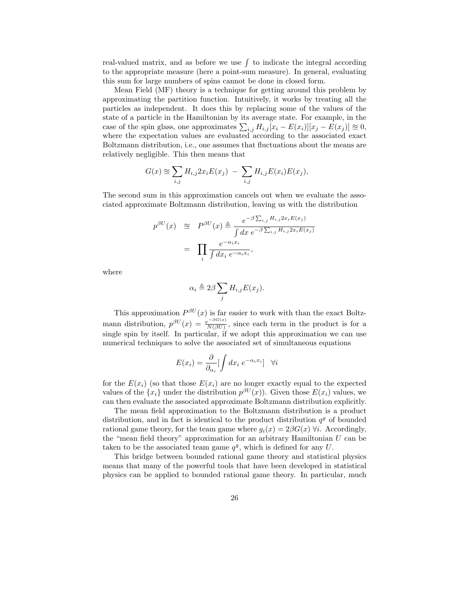real-valued matrix, and as before we use  $\int$  to indicate the integral according to the appropriate measure (here a point-sum measure). In general, evaluating this sum for large numbers of spins cannot be done in closed form.

Mean Field (MF) theory is a technique for getting around this problem by approximating the partition function. Intuitively, it works by treating all the particles as independent. It does this by replacing some of the values of the state of a particle in the Hamiltonian by its average state. For example, in the case of the spin glass, one approximates  $\sum_{i,j} H_{i,j}[x_i - E(x_i)][x_j - E(x_j)] \approx 0$ , where the expectation values are evaluated according to the associated exact where the expectation values are evaluated according to the associated exact Boltzmann distribution, i.e., one assumes that fluctuations about the means are relatively negligible. This then means that

$$
G(x) \approx \sum_{i,j} H_{i,j} 2x_i E(x_j) - \sum_{i,j} H_{i,j} E(x_i) E(x_j),
$$

The second sum in this approximation cancels out when we evaluate the associated approximate Boltzmann distribution, leaving us with the distribution

$$
p^{\beta U}(x) \approx P^{\beta U}(x) \triangleq \frac{e^{-\beta \sum_{i,j} H_{i,j} 2x_i E(x_j)}}{\int dx \, e^{-\beta \sum_{i,j} H_{i,j} 2x_i E(x_j)}}
$$

$$
= \prod_i \frac{e^{-\alpha_i x_i}}{\int dx_i \, e^{-\alpha_i x_i}},
$$

where

$$
\alpha_i \triangleq 2\beta \sum_j H_{i,j} E(x_j).
$$

This approximation  $P^{\beta U}(x)$  is far easier to work with than the exact Boltzmann distribution,  $p^{\beta U}(x) = \frac{e^{-\beta G(x)}}{N(\beta U)}$ , since each term in the product is for a single spin by itself. In particular, if we adopt this approximation we can use single spin by itself. In particular, if we adopt this approximation we can use numerical techniques to solve the associated set of simultaneous equations

$$
E(x_i) = \frac{\partial}{\partial \alpha_i} \left[ \int dx_i \ e^{-\alpha_i x_i} \right] \ \ \forall i
$$

for the  $E(x_i)$  (so that those  $E(x_i)$  are no longer exactly equal to the expected values of the  $\{x_i\}$  under the distribution  $p^{\beta U}(x)$ ). Given those  $E(x_i)$  values, we can then evaluate the associated approximate Boltzmann distribution explicitly.

The mean field approximation to the Boltzmann distribution is a product distribution, and in fact is identical to the product distribution  $q<sup>g</sup>$  of bounded rational game theory, for the team game where  $g_i(x)=2\beta G(x)$   $\forall i$ . Accordingly, the "mean field theory" approximation for an arbitrary Hamiltonian  $U$  can be taken to be the associated team game  $q<sup>g</sup>$ , which is defined for any U.

This bridge between bounded rational game theory and statistical physics means that many of the powerful tools that have been developed in statistical physics can be applied to bounded rational game theory. In particular, much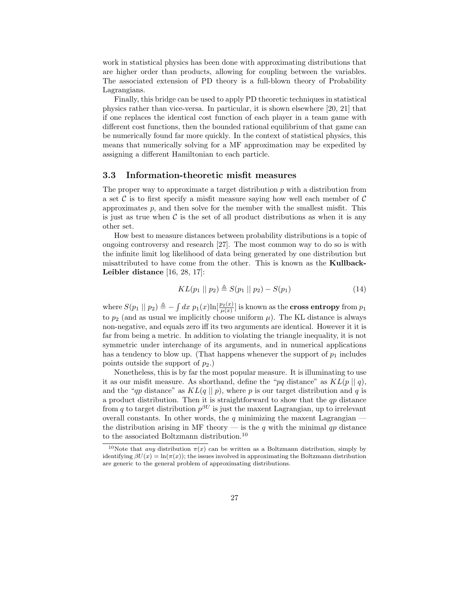work in statistical physics has been done with approximating distributions that are higher order than products, allowing for coupling between the variables. The associated extension of PD theory is a full-blown theory of Probability Lagrangians.

Finally, this bridge can be used to apply PD theoretic techniques in statistical physics rather than vice-versa. In particular, it is shown elsewhere [20, 21] that if one replaces the identical cost function of each player in a team game with different cost functions, then the bounded rational equilibrium of that game can be numerically found far more quickly. In the context of statistical physics, this means that numerically solving for a MF approximation may be expedited by assigning a different Hamiltonian to each particle.

#### **3.3 Information-theoretic misfit measures**

The proper way to approximate a target distribution  $p$  with a distribution from a set  $\mathcal C$  is to first specify a misfit measure saying how well each member of  $\mathcal C$ approximates  $p$ , and then solve for the member with the smallest misfit. This is just as true when  $\mathcal C$  is the set of all product distributions as when it is any other set.

How best to measure distances between probability distributions is a topic of ongoing controversy and research [27]. The most common way to do so is with the infinite limit log likelihood of data being generated by one distribution but misattributed to have come from the other. This is known as the **Kullback-Leibler distance** [16, 28, 17]:

$$
KL(p_1 \mid p_2) \triangleq S(p_1 \mid p_2) - S(p_1) \tag{14}
$$

where  $S(p_1 \parallel p_2) \triangleq -\int dx \ p_1(x) \ln[\frac{p_2(x)}{\mu(x)}]$  is known as the **cross entropy** from  $p_1$ <br>the KI distance is always to  $p_2$  (and as usual we implicitly choose uniform  $\mu$ ). The KL distance is always non-negative, and equals zero iff its two arguments are identical. However it it is far from being a metric. In addition to violating the triangle inequality, it is not symmetric under interchange of its arguments, and in numerical applications has a tendency to blow up. (That happens whenever the support of  $p_1$  includes points outside the support of  $p_2$ .

Nonetheless, this is by far the most popular measure. It is illuminating to use it as our misfit measure. As shorthand, define the "pq distance" as  $KL(p || q)$ , and the "qp distance" as  $KL(q || p)$ , where p is our target distribution and q is a product distribution. Then it is straightforward to show that the  $qp$  distance from q to target distribution  $p^{\beta U}$  is just the maxent Lagrangian, up to irrelevant overall constants. In other words, the  $q$  minimizing the maxent Lagrangian – the distribution arising in MF theory  $-$  is the q with the minimal qp distance to the associated Boltzmann distribution.<sup>10</sup>

<sup>&</sup>lt;sup>10</sup>Note that *any* distribution  $\pi(x)$  can be written as a Boltzmann distribution, simply by identifying  $\beta U(x) = \ln(\pi(x))$ ; the issues involved in approximating the Boltzmann distribution are generic to the general problem of approximating distributions.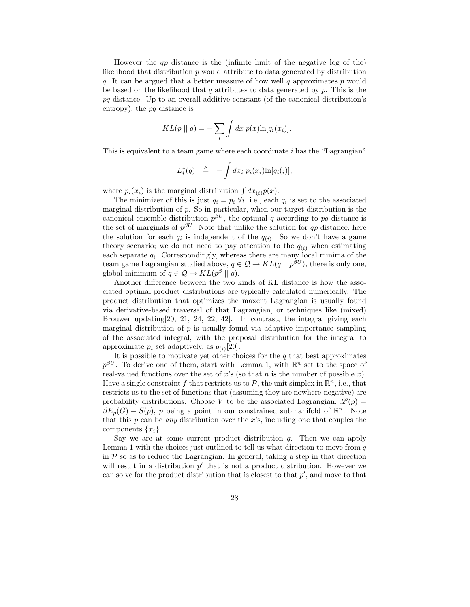However the  $qp$  distance is the (infinite limit of the negative log of the) likelihood that distribution  $p$  would attribute to data generated by distribution q. It can be argued that a better measure of how well q approximates  $p$  would be based on the likelihood that q attributes to data generated by  $p$ . This is the pq distance. Up to an overall additive constant (of the canonical distribution's entropy), the pq distance is

$$
KL(p \mid q) = -\sum_{i} \int dx \ p(x) \ln[q_i(x_i)].
$$

This is equivalent to a team game where each coordinate i has the "Lagrangian"

$$
L_i^*(q) \triangleq -\int dx_i \ p_i(x_i) \ln[q_i(i)],
$$

where  $p_i(x_i)$  is the marginal distribution  $\int dx_{(i)}p(x)$ .<br>The minimizer of this is just  $z = e^{i\pi}$  is a seed

The minimizer of this is just  $q_i = p_i \forall i$ , i.e., each  $q_i$  is set to the associated marginal distribution of  $p$ . So in particular, when our target distribution is the canonical ensemble distribution  $p^{\beta U}$ , the optimal q according to pq distance is the set of marginals of  $p^{\beta U}$ . Note that unlike the solution for qp distance, here the solution for each  $q_i$  is independent of the  $q_{(i)}$ . So we don't have a game theory scenario; we do not need to pay attention to the  $q_{(i)}$  when estimating each separate  $q_i$ . Correspondingly, whereas there are many local minima of the team game Lagrangian studied above,  $q \in \mathcal{Q} \to KL(q \mid p^{\beta U})$ , there is only one, global minimum of  $q \in \mathcal{Q} \to KL(p^{\beta} || q)$ .

Another difference between the two kinds of KL distance is how the associated optimal product distributions are typically calculated numerically. The product distribution that optimizes the maxent Lagrangian is usually found via derivative-based traversal of that Lagrangian, or techniques like (mixed) Brouwer updating[20, 21, 24, 22, 42]. In contrast, the integral giving each marginal distribution of  $p$  is usually found via adaptive importance sampling of the associated integral, with the proposal distribution for the integral to approximate  $p_i$  set adaptively, as  $q_{(i)}[20]$ .

It is possible to motivate yet other choices for the  $q$  that best approximates  $p^{\beta U}$ . To derive one of them, start with Lemma 1, with  $\mathbb{R}^n$  set to the space of real-valued functions over the set of x's (so that n is the number of possible x). Have a single constraint f that restricts us to  $P$ , the unit simplex in  $\mathbb{R}^n$ , i.e., that restricts us to the set of functions that (assuming they are nowhere-negative) are probability distributions. Choose V to be the associated Lagrangian,  $\mathscr{L}(p)$  =  $\beta E_n(G) - S(p)$ , p being a point in our constrained submanifold of  $\mathbb{R}^n$ . Note that this p can be *any* distribution over the x's, including one that couples the components  $\{x_i\}.$ 

Say we are at some current product distribution  $q$ . Then we can apply Lemma 1 with the choices just outlined to tell us what direction to move from  $q$ in  $P$  so as to reduce the Lagrangian. In general, taking a step in that direction will result in a distribution  $p'$  that is not a product distribution. However we can solve for the product distribution that is closest to that  $p'$ , and move to that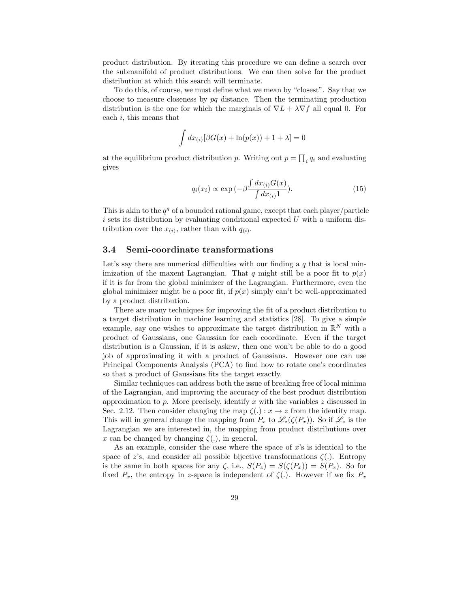product distribution. By iterating this procedure we can define a search over the submanifold of product distributions. We can then solve for the product distribution at which this search will terminate.

To do this, of course, we must define what we mean by "closest". Say that we choose to measure closeness by  $pq$  distance. Then the terminating production distribution is the one for which the marginals of  $\nabla L + \lambda \nabla f$  all equal 0. For each i, this means that

$$
\int dx_{(i)} [\beta G(x) + \ln(p(x)) + 1 + \lambda] = 0
$$

at the equilibrium product distribution p. Writing out  $p = \prod_i q_i$  and evaluating gives gives

$$
q_i(x_i) \propto \exp\left(-\beta \frac{\int dx_{(i)} G(x)}{\int dx_{(i)} 1}\right).
$$
 (15)

This is akin to the  $q^g$  of a bounded rational game, except that each player/particle  $i$  sets its distribution by evaluating conditional expected  $U$  with a uniform distribution over the  $x_{(i)}$ , rather than with  $q_{(i)}$ .

## **3.4 Semi-coordinate transformations**

Let's say there are numerical difficulties with our finding a  $q$  that is local minimization of the maxent Lagrangian. That q might still be a poor fit to  $p(x)$ if it is far from the global minimizer of the Lagrangian. Furthermore, even the global minimizer might be a poor fit, if  $p(x)$  simply can't be well-approximated by a product distribution.

There are many techniques for improving the fit of a product distribution to a target distribution in machine learning and statistics [28]. To give a simple example, say one wishes to approximate the target distribution in  $\mathbb{R}^N$  with a product of Gaussians, one Gaussian for each coordinate. Even if the target distribution is a Gaussian, if it is askew, then one won't be able to do a good job of approximating it with a product of Gaussians. However one can use Principal Components Analysis (PCA) to find how to rotate one's coordinates so that a product of Gaussians fits the target exactly.

Similar techniques can address both the issue of breaking free of local minima of the Lagrangian, and improving the accuracy of the best product distribution approximation to p. More precisely, identify x with the variables  $z$  discussed in Sec. 2.12. Then consider changing the map  $\zeta(.) : x \to z$  from the identity map. This will in general change the mapping from  $P_x$  to  $\mathscr{L}_z(\zeta(P_x))$ . So if  $\mathscr{L}_z$  is the Lagrangian we are interested in, the mapping from product distributions over x can be changed by changing  $\zeta(.)$ , in general.

As an example, consider the case where the space of x's is identical to the space of z's, and consider all possible bijective transformations  $\zeta(.)$ . Entropy is the same in both spaces for any  $\zeta$ , i.e.,  $S(P_z) = S(\zeta(P_x)) = S(P_x)$ . So for fixed  $P_x$ , the entropy in z-space is independent of  $\zeta(.)$ . However if we fix  $P_x$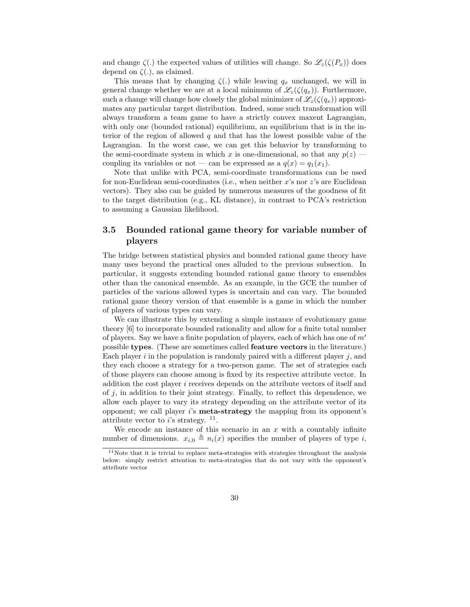and change  $\zeta(.)$  the expected values of utilities will change. So  $\mathscr{L}_z(\zeta(P_x))$  does depend on  $\zeta(.)$ , as claimed.

This means that by changing  $\zeta(.)$  while leaving  $q_x$  unchanged, we will in general change whether we are at a local minimum of  $\mathscr{L}_z(\zeta(q_x))$ . Furthermore, such a change will change how closely the global minimizer of  $\mathscr{L}_z(\zeta(q_x))$  approximates any particular target distribution. Indeed, some such transformation will always transform a team game to have a strictly convex maxent Lagrangian, with only one (bounded rational) equilibrium, an equilibrium that is in the interior of the region of allowed  $q$  and that has the lowest possible value of the Lagrangian. In the worst case, we can get this behavior by transforming to the semi-coordinate system in which x is one-dimensional, so that any  $p(z)$  coupling its variables or not — can be expressed as a  $q(x) = q_1(x_1)$ .

Note that unlike with PCA, semi-coordinate transformations can be used for non-Euclidean semi-coordinates (i.e., when neither x's nor  $z$ 's are Euclidean vectors). They also can be guided by numerous measures of the goodness of fit to the target distribution (e.g., KL distance), in contrast to PCA's restriction to assuming a Gaussian likelihood.

## **3.5 Bounded rational game theory for variable number of players**

The bridge between statistical physics and bounded rational game theory have many uses beyond the practical ones alluded to the previous subsection. In particular, it suggests extending bounded rational game theory to ensembles other than the canonical ensemble. As an example, in the GCE the number of particles of the various allowed types is uncertain and can vary. The bounded rational game theory version of that ensemble is a game in which the number of players of various types can vary.

We can illustrate this by extending a simple instance of evolutionary game theory [6] to incorporate bounded rationality and allow for a finite total number of players. Say we have a finite population of players, each of which has one of  $m'$ possible **types**. (These are sometimes called **feature vectors** in the literature.) Each player i in the population is randomly paired with a different player  $j$ , and they each choose a strategy for a two-person game. The set of strategies each of those players can choose among is fixed by its respective attribute vector. In addition the cost player i receives depends on the attribute vectors of itself and of  $j$ , in addition to their joint strategy. Finally, to reflect this dependence, we allow each player to vary its strategy depending on the attribute vector of its opponent; we call player i's **meta-strategy** the mapping from its opponent's attribute vector to *i*'s strategy.  $11$ .

We encode an instance of this scenario in an  $x$  with a countably infinite number of dimensions.  $x_{i,0} \triangleq n_i(x)$  specifies the number of players of type i,

 $11$ Note that it is trivial to replace meta-strategies with strategies throughout the analysis below: simply restrict attention to meta-strategies that do not vary with the opponent's attribute vector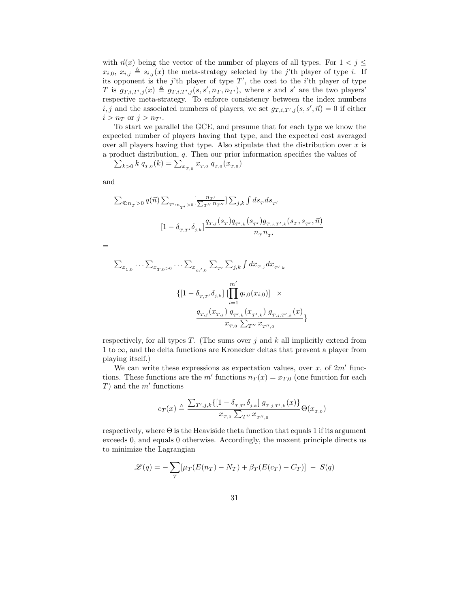with  $\vec{n}(x)$  being the vector of the number of players of all types. For  $1 < j \leq$  $x_{i,0}, x_{i,j} \triangleq s_{i,j}(x)$  the meta-strategy selected by the j'th player of type i. If its opponent is the j'th player of type  $T'$ , the cost to the *i*'th player of type T is  $g_{T,i,T',j}(x) \triangleq g_{T,i,T',j}(s, s', n_T, n_{T'})$ , where s and s' are the two players' respective meta-strategy. To enforce consistency between the index numbers *i*, *j* and the associated numbers of players, we set  $g_{T,i,T',j}(s, s', \vec{n}) = 0$  if either  $i>n_T$  or  $j>n_{T'}$ .

To start we parallel the GCE, and presume that for each type we know the expected number of players having that type, and the expected cost averaged over all players having that type. Also stipulate that the distribution over  $x$  is a product distribution, q. Then our prior information specifies the values of

 $\sum_{k>0} k q_{T,0}(k) = \sum_{x_{T,0}}$  $x_{T,0}$   $q_{T,0}(x_{T,0})$ 

and

=

$$
\begin{split} \sum_{\vec{n}:n_T>0} & \ q(\vec{n}) \sum_{T':n_{T'}>0}[\frac{n_{T'}}{\sum_{T''}n_{T''}}]\sum_{j,k} \int ds_T ds_{T'} \\ & \qquad [1-\delta_{T,T'}\delta_{j,k}] \frac{q_{T,j}(s_T)q_{T',k}(s_{T'})g_{T,j,T',k}(s_T,s_{T'},\vec{n})}{n_{T}n_{T'}} \\ \end{split}
$$

$$
\sum_{x_{1,0}} \cdots \sum_{x_{T,0} > 0} \cdots \sum_{x_{m',0}} \sum_{\tau'} \sum_{j,k} \int dx_{T,j} dx_{T',k}
$$
\n
$$
\{ [1 - \delta_{T,T'} \delta_{j,k}] \prod_{i=1}^{m'} q_{i,0}(x_{i,0})] \times \frac{q_{T,j}(x_{T,j}) q_{T',k}(x_{T',k}) g_{T,j,T',k}(x)}{x_{T,0} \sum_{T''} x_{T'',0}} \}
$$

respectively, for all types  $T$ . (The sums over  $j$  and  $k$  all implicitly extend from 1 to  $\infty$ , and the delta functions are Kronecker deltas that prevent a player from playing itself.)

We can write these expressions as expectation values, over x, of  $2m'$  functions. These functions are the m' functions  $n_T(x) = x_{T,0}$  (one function for each  $T$ ) and the m' functions T) and the  $m'$  functions

$$
c_T(x) \triangleq \frac{\sum_{T',j,k} \{ [1 - \delta_{T,T'} \delta_{j,k}] g_{T,j,T',k}(x) \}}{x_{T,0} \sum_{T''} x_{T'',0}} \Theta(x_{T,0})
$$

respectively, where  $\Theta$  is the Heaviside theta function that equals 1 if its argument exceeds 0, and equals 0 otherwise. Accordingly, the maxent principle directs us to minimize the Lagrangian

$$
\mathscr{L}(q) = -\sum_{T} [\mu_T (E(n_T) - N_T) + \beta_T (E(c_T) - C_T)] - S(q)
$$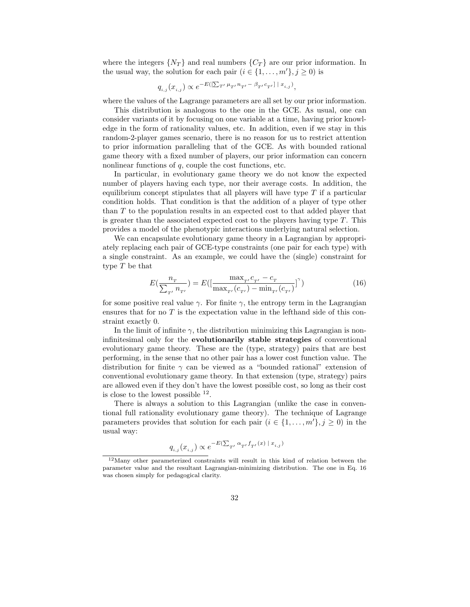where the integers  $\{N_T\}$  and real numbers  $\{C_T\}$  are our prior information. In the usual way, the solution for each pair  $(i \in \{1, \ldots, m'\}, j \ge 0)$  is

$$
q_{i,j}(x_{i,j}) \propto e^{-E([\sum_{T'} \mu_{T'} n_{T'} - \beta_{T'} c_{T'}] + x_{i,j})},
$$

where the values of the Lagrange parameters are all set by our prior information.

This distribution is analogous to the one in the GCE. As usual, one can consider variants of it by focusing on one variable at a time, having prior knowledge in the form of rationality values, etc. In addition, even if we stay in this random-2-player games scenario, there is no reason for us to restrict attention to prior information paralleling that of the GCE. As with bounded rational game theory with a fixed number of players, our prior information can concern nonlinear functions of q, couple the cost functions, etc.

In particular, in evolutionary game theory we do not know the expected number of players having each type, nor their average costs. In addition, the equilibrium concept stipulates that all players will have type  $T$  if a particular condition holds. That condition is that the addition of a player of type other than T to the population results in an expected cost to that added player that is greater than the associated expected cost to the players having type  $T$ . This provides a model of the phenotypic interactions underlying natural selection.

We can encapsulate evolutionary game theory in a Lagrangian by appropriately replacing each pair of GCE-type constraints (one pair for each type) with a single constraint. As an example, we could have the (single) constraint for type T be that

$$
E\left(\frac{n_{\scriptscriptstyle T}}{\sum_{\scriptscriptstyle T'} n_{\scriptscriptstyle T'}}\right) = E\left(\left[\frac{\max_{\scriptscriptstyle T'} c_{\scriptscriptstyle T'} - c_{\scriptscriptstyle T}}{\max_{\scriptscriptstyle T'} (c_{\scriptscriptstyle T'}) - \min_{\scriptscriptstyle T'} (c_{\scriptscriptstyle T'})}\right]^{\gamma}\right) \tag{16}
$$

for some positive real value  $\gamma$ . For finite  $\gamma$ , the entropy term in the Lagrangian ensures that for no  $T$  is the expectation value in the lefthand side of this constraint exactly 0.

In the limit of infinite  $\gamma$ , the distribution minimizing this Lagrangian is noninfinitesimal only for the **evolutionarily stable strategies** of conventional evolutionary game theory. These are the (type, strategy) pairs that are best performing, in the sense that no other pair has a lower cost function value. The distribution for finite  $\gamma$  can be viewed as a "bounded rational" extension of conventional evolutionary game theory. In that extension (type, strategy) pairs are allowed even if they don't have the lowest possible cost, so long as their cost is close to the lowest possible  $^{12}$ .

There is always a solution to this Lagrangian (unlike the case in conventional full rationality evolutionary game theory). The technique of Lagrange parameters provides that solution for each pair  $(i \in \{1, ..., m'\}, j \ge 0)$  in the usual way:

$$
q_{_{i,j}}(x_{_{i,j}}) \propto e^{-E(\sum_{_{T'}} \alpha_{_{T'}} f_{_{T'}}(x) \; | \; x_{_{i,j}})}
$$

<sup>12</sup>Many other parameterized constraints will result in this kind of relation between the parameter value and the resultant Lagrangian-minimizing distribution. The one in Eq. 16 was chosen simply for pedagogical clarity.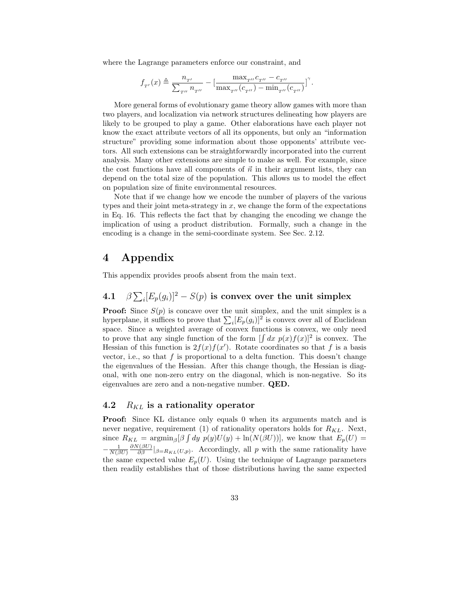where the Lagrange parameters enforce our constraint, and

$$
f_{T'}(x) \triangleq \frac{n_{T'}}{\sum_{T''} n_{T''}} - \left[\frac{\max_{T''} c_{T''} - c_{T''}}{\max_{T''} (c_{T''}) - \min_{T''} (c_{T''})}\right]^{\gamma}.
$$

More general forms of evolutionary game theory allow games with more than two players, and localization via network structures delineating how players are likely to be grouped to play a game. Other elaborations have each player not know the exact attribute vectors of all its opponents, but only an "information structure" providing some information about those opponents' attribute vectors. All such extensions can be straightforwardly incorporated into the current analysis. Many other extensions are simple to make as well. For example, since the cost functions have all components of  $\vec{n}$  in their argument lists, they can depend on the total size of the population. This allows us to model the effect on population size of finite environmental resources.

Note that if we change how we encode the number of players of the various types and their joint meta-strategy in  $x$ , we change the form of the expectations in Eq. 16. This reflects the fact that by changing the encoding we change the implication of using a product distribution. Formally, such a change in the encoding is a change in the semi-coordinate system. See Sec. 2.12.

## **4 Appendix**

This appendix provides proofs absent from the main text.

# **4.1**  $\beta \sum_i [E_p(g_i)]^2 - S(p)$  is convex over the unit simplex

**Proof:** Since  $S(p)$  is concave over the unit simplex, and the unit simplex is a hyperplane, it suffices to prove that  $\sum_i [E_p(g_i)]^2$  is convex over all of Euclidean space. Since a weighted average of convex functions is convex, we only need to prove that any single function of the form  $\int dx p(x)f(x)|^2$  is convex. The Hessian of this function is  $2f(x)f(x')$ . Rotate coordinates so that f is a basis vector, i.e., so that  $f$  is proportional to a delta function. This doesn't change the eigenvalues of the Hessian. After this change though, the Hessian is diagonal, with one non-zero entry on the diagonal, which is non-negative. So its eigenvalues are zero and a non-negative number. **QED.**

## **4.2**  $R_{KL}$  is a rationality operator

**Proof:** Since KL distance only equals 0 when its arguments match and is never negative, requirement (1) of rationality operators holds for  $R_{KL}$ . Next, since  $R_{KL} = \operatorname{argmin}_{\beta} [\beta \int dy \ p(y)U(y) + \ln(N(\beta U))],$  we know that  $E_p(U) =$  $-\frac{1}{N(\beta U)}$  $\frac{\partial N(\beta U)}{\partial \beta} |_{\beta=R_{KL}(U,p)}$ . Accordingly, all p with the same rationality have the same expected value  $E_p(U)$ . Using the technique of Lagrange parameters then readily establishes that of those distributions having the same expected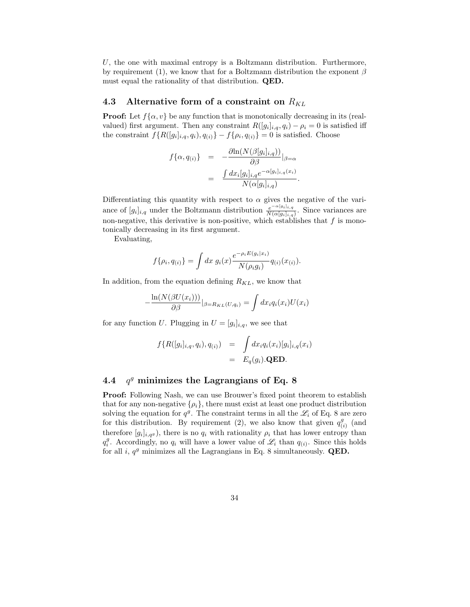$U$ , the one with maximal entropy is a Boltzmann distribution. Furthermore, by requirement (1), we know that for a Boltzmann distribution the exponent  $\beta$ must equal the rationality of that distribution. **QED.**

## **4.3** Alternative form of a constraint on  $R_{KL}$

**Proof:** Let  $f\{\alpha, v\}$  be any function that is monotonically decreasing in its (realvalued) first argument. Then any constraint  $R([g_i]_{i,q}, q_i) - \rho_i = 0$  is satisfied iff the constraint  $f\{R([g_i]_{i,q}, q_i), q_{(i)}\} - f\{\rho_i, q_{(i)}\} = 0$  is satisfied. Choose

$$
f\{\alpha, q_{(i)}\} = -\frac{\partial \ln(N(\beta[g_i]_{i,q}))}{\partial \beta}|_{\beta=\alpha}
$$
  
= 
$$
\frac{\int dx_i[g_i]_{i,q}e^{-\alpha[g_i]_{i,q}(x_i)}N(\alpha[g_i]_{i,q})}.
$$

Differentiating this quantity with respect to  $\alpha$  gives the negative of the variance of  $[g_i]_{i,q}$  under the Boltzmann distribution  $\frac{e^{-\alpha[g_i]_{i,q}}}{N(\alpha[g_i]_{i,q})}$ . Since variances are non-negative, this derivative is non-positive, which establishes that f is monotonically decreasing in its first argument.

Evaluating,

$$
f\{\rho_i, q_{(i)}\} = \int dx \ g_i(x) \frac{e^{-\rho_i E(g_i|x_i)}}{N(\rho_i g_i)} q_{(i)}(x_{(i)}).
$$

In addition, from the equation defining  $R_{KL}$ , we know that

$$
-\frac{\ln(N(\beta U(x_i)))}{\partial \beta}|_{\beta=R_{KL}(U,q_i)} = \int dx_i q_i(x_i) U(x_i)
$$

for any function U. Plugging in  $U = [g_i]_{i,q}$ , we see that

$$
f\{R([g_i]_{i,q}, q_i), q_{(i)}) = \int dx_i q_i(x_i)[g_i]_{i,q}(x_i)
$$
  
=  $E_q(g_i).\text{QED}.$ 

## **4.4**  $q^g$  minimizes the Lagrangians of Eq. 8

**Proof:** Following Nash, we can use Brouwer's fixed point theorem to establish that for any non-negative  $\{\rho_i\}$ , there must exist at least one product distribution solving the equation for  $q^g$ . The constraint terms in all the  $\mathscr{L}_i$  of Eq. 8 are zero for this distribution. By requirement (2), we also know that given  $q_{(i)}^g$  (and therefore [c,] therefore  $[g_i]_{i,qg}$ , there is no  $q_i$  with rationality  $\rho_i$  that has lower entropy than  $q_i^g$ . Accordingly, no  $q_i$  will have a lower value of  $\mathscr{L}_i$  than  $q_{(i)}$ . Since this holds for all *i*,  $q_i^g$  minimizes all the Lagrangians in Eq. 8 simultaneously. **OED** for all i,  $q<sup>g</sup>$  minimizes all the Lagrangians in Eq. 8 simultaneously. **QED.**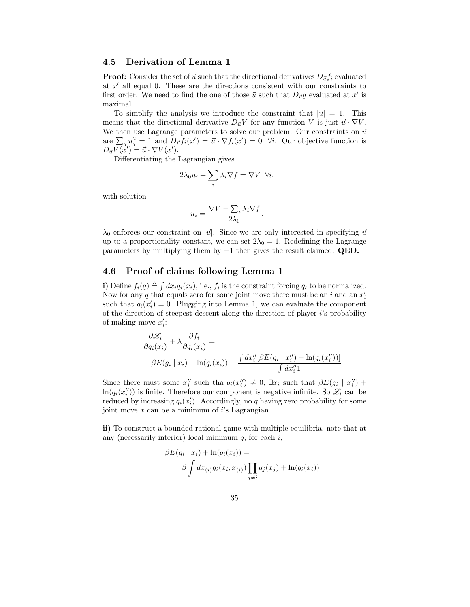### **4.5 Derivation of Lemma 1**

**Proof:** Consider the set of  $\vec{u}$  such that the directional derivatives  $D_{\vec{u}}f_i$  evaluated at  $x'$  all equal 0. These are the directions consistent with our constraints to first order. We need to find the one of those  $\vec{u}$  such that  $D_{\vec{u}}g$  evaluated at  $x'$  is maximal. maximal.

To simplify the analysis we introduce the constraint that  $|\vec{u}| = 1$ . This means that the directional derivative  $D_{\vec{u}}V$  for any function V is just  $\vec{u} \cdot \nabla V$ . We then use Lagrange parameters to solve our problem. Our constraints on  $\vec{u}$ are  $\sum_j u_j^2 = 1$  and  $D_{\vec{u}} f_i(x') = \vec{u} \cdot \nabla f_i(x') = 0$   $\forall i$ . Our objective function is  $D_{-V}(x') = \vec{u} \cdot \nabla V(x')$  $D_{\vec{u}}V(x') = \vec{u} \cdot \nabla V(x').$ <br>Differentiating the

Differentiating the Lagrangian gives

$$
2\lambda_0 u_i + \sum_i \lambda_i \nabla f = \nabla V \ \forall i.
$$

with solution

$$
u_i = \frac{\nabla V - \sum_i \lambda_i \nabla f}{2\lambda_0}.
$$

 $\lambda_0$  enforces our constraint on  $|\vec{u}|$ . Since we are only interested in specifying  $\vec{u}$ up to a proportionality constant, we can set  $2\lambda_0 = 1$ . Redefining the Lagrange parameters by multiplying them by −1 then gives the result claimed. **QED.**

## **4.6 Proof of claims following Lemma 1**

**i)** Define  $f_i(q) \triangleq \int dx_i q_i(x_i)$ , i.e.,  $f_i$  is the constraint forcing  $q_i$  to be normalized. Now for any q that equals zero for some joint move there must be an i and an  $x_i'$ such that  $q_i(x'_i) = 0$ . Plugging into Lemma 1, we can evaluate the component<br>of the direction of steepest descent along the direction of player i's probability of the direction of steepest descent along the direction of player  $i$ 's probability of making move  $x_i'$ :

$$
\frac{\partial \mathcal{L}_i}{\partial q_i(x_i)} + \lambda \frac{\partial f_i}{\partial q_i(x_i)} =
$$
  

$$
\beta E(g_i \mid x_i) + \ln(q_i(x_i)) - \frac{\int dx_i''[\beta E(g_i \mid x_i'') + \ln(q_i(x_i''))]}{\int dx_i''}
$$

Since there must some  $x_i''$  such tha  $q_i(x_i'') \neq 0$ ,  $\exists x_i$  such that  $\beta E(q_i \mid x_i'') +$ <br> $\ln(a_i(x_i''))$  is finite. Therefore our component is positive infinite. So  $\mathscr{L}$  can be  $\ln(q_i(x''_i))$  is finite. Therefore our component is negative infinite. So  $\mathcal{L}_i$  can be reduced by increasing  $a(x')$ . Accordingly, no a baying zero probability for some reduced by increasing  $q_i(x'_i)$ . Accordingly, no q having zero probability for some<br>ioint move x can be a minimum of  $i$ 's I agrangian joint move  $x$  can be a minimum of  $i$ 's Lagrangian.

**ii)** To construct a bounded rational game with multiple equilibria, note that at any (necessarily interior) local minimum  $q$ , for each  $i$ ,

$$
\beta E(g_i \mid x_i) + \ln(q_i(x_i)) =
$$
  

$$
\beta \int dx_{(i)} g_i(x_i, x_{(i)}) \prod_{j \neq i} q_j(x_j) + \ln(q_i(x_i))
$$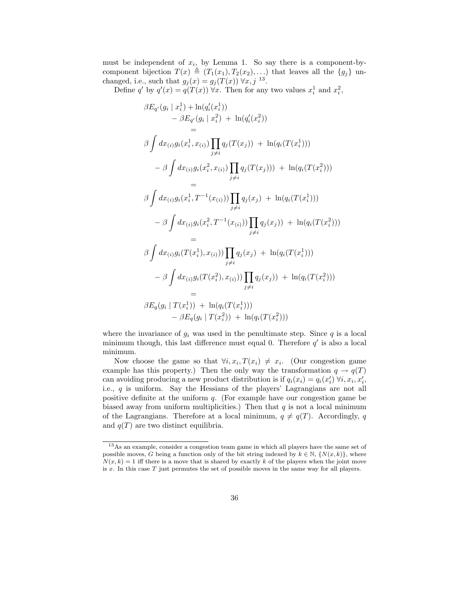must be independent of  $x_i$ , by Lemma 1. So say there is a component-bycomponent bijection  $T(x) \triangleq (T_1(x_1), T_2(x_2),...)$  that leaves all the  $\{g_i\}$  unchanged, i.e., such that  $g_j(x) = g_j(T(x)) \forall x, j$  <sup>13</sup>.

Define q' by  $q'(x) = q(T(x)) \forall x$ . Then for any two values  $x_i^1$  and  $x_i^2$ ,

$$
\beta E_{q'}(g_i | x_i^1) + \ln(q'_i(x_i^1))
$$
  
\n
$$
- \beta E_{q'}(g_i | x_i^2) + \ln(q'_i(x_i^2))
$$
  
\n
$$
=
$$
  
\n
$$
\beta \int dx_{(i)} g_i(x_i^1, x_{(i)}) \prod_{j \neq i} q_j(T(x_j)) + \ln(q_i(T(x_i^1)))
$$
  
\n
$$
- \beta \int dx_{(i)} g_i(x_i^2, x_{(i)}) \prod_{j \neq i} q_j(T(x_j))) + \ln(q_i(T(x_i^2)))
$$
  
\n
$$
=
$$
  
\n
$$
\beta \int dx_{(i)} g_i(x_i^1, T^{-1}(x_{(i)})) \prod_{j \neq i} q_j(x_j) + \ln(q_i(T(x_i^1)))
$$
  
\n
$$
- \beta \int dx_{(i)} g_i(x_i^2, T^{-1}(x_{(i)})) \prod_{j \neq i} q_j(x_j)) + \ln(q_i(T(x_i^2)))
$$
  
\n
$$
=
$$
  
\n
$$
\beta \int dx_{(i)} g_i(T(x_i^1), x_{(i)})) \prod_{j \neq i} q_j(x_j) + \ln(q_i(T(x_i^1)))
$$
  
\n
$$
- \beta \int dx_{(i)} g_i(T(x_i^2), x_{(i)})) \prod_{j \neq i} q_j(x_j)) + \ln(q_i(T(x_i^2)))
$$
  
\n
$$
=
$$
  
\n
$$
\beta E_q(g_i | T(x_i^1)) + \ln(q_i(T(x_i^1)))
$$
  
\n
$$
- \beta E_q(g_i | T(x_i^2)) + \ln(q_i(T(x_i^2)))
$$

where the invariance of  $g_i$  was used in the penultimate step. Since  $q$  is a local minimum though, this last difference must equal 0. Therefore  $q'$  is also a local minimum.

Now choose the game so that  $\forall i, x_i, T(x_i) \neq x_i$ . (Our congestion game example has this property.) Then the only way the transformation  $q \to q(T)$ can avoiding producing a new product distribution is if  $q_i(x_i) = q_i(x'_i) \forall i, x_i, x'_i$ ,<br>i.e.,  $q_i$  is uniform. Say the Hossians of the players' Lagrangians, are not all i.e., q is uniform. Say the Hessians of the players' Lagrangians are not all positive definite at the uniform q. (For example have our congestion game be biased away from uniform multiplicities.) Then that  $q$  is not a local minimum of the Lagrangians. Therefore at a local minimum,  $q \neq q(T)$ . Accordingly, q and  $q(T)$  are two distinct equilibria.

<sup>13</sup>As an example, consider a congestion team game in which all players have the same set of possible moves, G being a function only of the bit string indexed by  $k \in \mathbb{N}$ ,  $\{N(x, k)\}\$ , where  $N(x, k) = 1$  iff there is a move that is shared by exactly k of the players when the joint move is x. In this case T just permutes the set of possible moves in the same way for all players.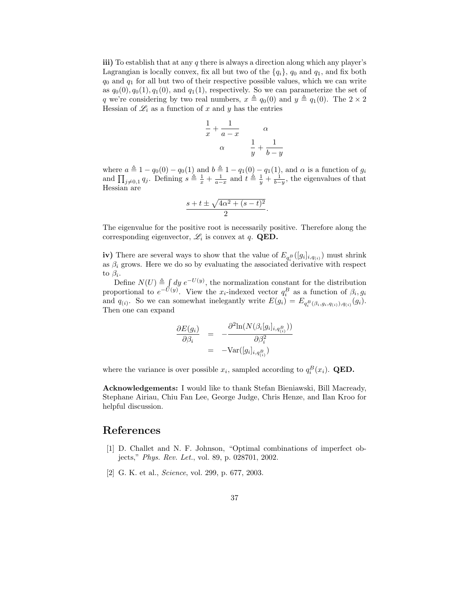**iii)** To establish that at any q there is always a direction along which any player's Lagrangian is locally convex, fix all but two of the  $\{q_i\}$ ,  $q_0$  and  $q_1$ , and fix both  $q_0$  and  $q_1$  for all but two of their respective possible values, which we can write as  $q_0(0), q_0(1), q_1(0)$ , and  $q_1(1)$ , respectively. So we can parameterize the set of q we're considering by two real numbers,  $x \triangleq q_0(0)$  and  $y \triangleq q_1(0)$ . The  $2 \times 2$ Hessian of  $\mathscr{L}_i$  as a function of x and y has the entries

$$
\frac{1}{x} + \frac{1}{a-x} \qquad \alpha
$$
  

$$
\alpha \qquad \frac{1}{y} + \frac{1}{b-y}
$$

where  $a \triangleq 1 - q_0(0) - q_0(1)$  and  $b \triangleq 1 - q_1(0) - q_1(1)$ , and  $\alpha$  is a function of  $g_i$ <br>and  $\prod_{j \neq 0,1} q_j$ . Defining  $s \triangleq \frac{1}{x} + \frac{1}{a-x}$  and  $t \triangleq \frac{1}{y} + \frac{1}{b-y}$ , the eigenvalues of that Hessian are

$$
\frac{s+t\pm\sqrt{4\alpha^2+(s-t)^2}}{2}.
$$

The eigenvalue for the positive root is necessarily positive. Therefore along the corresponding eigenvector,  $\mathscr{L}_i$  is convex at q. **QED.** 

**iv)** There are several ways to show that the value of  $E_{q_i^B}([g_i]_{i,q_{(i)}})$  must shrink as  $\beta$ , grows. Here we do so by evaluating the associated derivative with respect as  $\beta_i$  grows. Here we do so by evaluating the associated derivative with respect to  $\beta_i$ .

Define  $N(U) \triangleq \int dy \, e^{-U(y)}$ , the normalization constant for the distribution proportional to  $e^{-U(y)}$ . View the  $x_i$ -indexed vector  $q_i^B$  as a function of  $\beta_i, g_i$ <br>and  $g_{\mu\nu}$ . So we can somewhat independently write  $F(g_i) = F_{i, B_i}$ . and  $q_{(i)}$ . So we can somewhat inelegantly write  $E(g_i) = E_{q_i^B(\beta_i, g_i, q_{(i)}), q_{(i)}}(g_i)$ .<br>Then one can expand Then one can expand

$$
\frac{\partial E(g_i)}{\partial \beta_i} = -\frac{\partial^2 \ln(N(\beta_i[g_i]_{i,q_{(i)}^B}))}{\partial \beta_i^2}
$$
  
= -Var([g\_i]\_{i,q\_{(i)}^B})

where the variance is over possible  $x_i$ , sampled according to  $q_i^B(x_i)$ . **QED.** 

**Acknowledgements:** I would like to thank Stefan Bieniawski, Bill Macready, Stephane Airiau, Chiu Fan Lee, George Judge, Chris Henze, and Ilan Kroo for helpful discussion.

## **References**

- [1] D. Challet and N. F. Johnson, "Optimal combinations of imperfect objects," *Phys. Rev. Let.*, vol. 89, p. 028701, 2002.
- [2] G. K. et al., *Science*, vol. 299, p. 677, 2003.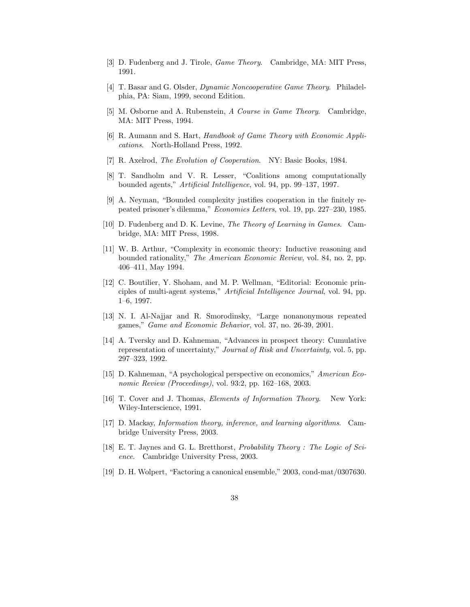- [3] D. Fudenberg and J. Tirole, *Game Theory*. Cambridge, MA: MIT Press, 1991.
- [4] T. Basar and G. Olsder, *Dynamic Noncooperative Game Theory*. Philadelphia, PA: Siam, 1999, second Edition.
- [5] M. Osborne and A. Rubenstein, *A Course in Game Theory*. Cambridge, MA: MIT Press, 1994.
- [6] R. Aumann and S. Hart, *Handbook of Game Theory with Economic Applications*. North-Holland Press, 1992.
- [7] R. Axelrod, *The Evolution of Cooperation*. NY: Basic Books, 1984.
- [8] T. Sandholm and V. R. Lesser, "Coalitions among computationally bounded agents," *Artificial Intelligence*, vol. 94, pp. 99–137, 1997.
- [9] A. Neyman, "Bounded complexity justifies cooperation in the finitely repeated prisoner's dilemma," *Economics Letters*, vol. 19, pp. 227–230, 1985.
- [10] D. Fudenberg and D. K. Levine, *The Theory of Learning in Games*. Cambridge, MA: MIT Press, 1998.
- [11] W. B. Arthur, "Complexity in economic theory: Inductive reasoning and bounded rationality," *The American Economic Review*, vol. 84, no. 2, pp. 406–411, May 1994.
- [12] C. Boutilier, Y. Shoham, and M. P. Wellman, "Editorial: Economic principles of multi-agent systems," *Artificial Intelligence Journal*, vol. 94, pp. 1–6, 1997.
- [13] N. I. Al-Najjar and R. Smorodinsky, "Large nonanonymous repeated games," *Game and Economic Behavior*, vol. 37, no. 26-39, 2001.
- [14] A. Tversky and D. Kahneman, "Advances in prospect theory: Cumulative representation of uncertainty," *Journal of Risk and Uncertainty*, vol. 5, pp. 297–323, 1992.
- [15] D. Kahneman, "A psychological perspective on economics," *American Economic Review (Proceedings)*, vol. 93:2, pp. 162–168, 2003.
- [16] T. Cover and J. Thomas, *Elements of Information Theory*. New York: Wiley-Interscience, 1991.
- [17] D. Mackay, *Information theory, inference, and learning algorithms*. Cambridge University Press, 2003.
- [18] E. T. Jaynes and G. L. Bretthorst, *Probability Theory : The Logic of Science*. Cambridge University Press, 2003.
- [19] D. H. Wolpert, "Factoring a canonical ensemble," 2003, cond-mat/0307630.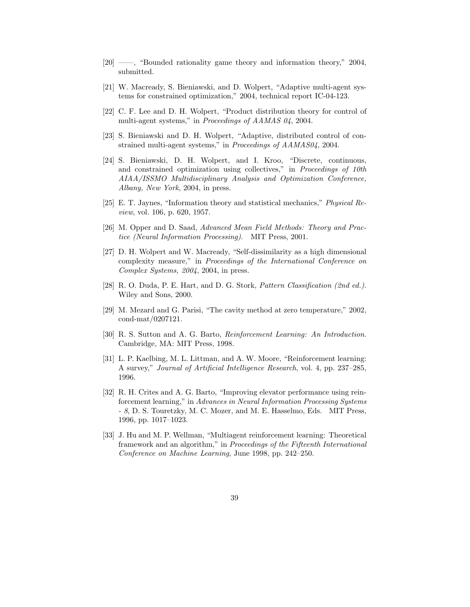- [20] ——, "Bounded rationality game theory and information theory," 2004, submitted.
- [21] W. Macready, S. Bieniawski, and D. Wolpert, "Adaptive multi-agent systems for constrained optimization," 2004, technical report IC-04-123.
- [22] C. F. Lee and D. H. Wolpert, "Product distribution theory for control of multi-agent systems," in *Proceedings of AAMAS 04*, 2004.
- [23] S. Bieniawski and D. H. Wolpert, "Adaptive, distributed control of constrained multi-agent systems," in *Proceedings of AAMAS04*, 2004.
- [24] S. Bieniawski, D. H. Wolpert, and I. Kroo, "Discrete, continuous, and constrained optimization using collectives," in *Proceedings of 10th AIAA/ISSMO Multidisciplinary Analysis and Optimization Conference, Albany, New York*, 2004, in press.
- [25] E. T. Jaynes, "Information theory and statistical mechanics," *Physical Review*, vol. 106, p. 620, 1957.
- [26] M. Opper and D. Saad, *Advanced Mean Field Methods: Theory and Practice (Neural Information Processing)*. MIT Press, 2001.
- [27] D. H. Wolpert and W. Macready, "Self-dissimilarity as a high dimensional complexity measure," in *Proceedings of the International Conference on Complex Systems, 2004*, 2004, in press.
- [28] R. O. Duda, P. E. Hart, and D. G. Stork, *Pattern Classification (2nd ed.)*. Wiley and Sons, 2000.
- [29] M. Mezard and G. Parisi, "The cavity method at zero temperature," 2002, cond-mat/0207121.
- [30] R. S. Sutton and A. G. Barto, *Reinforcement Learning: An Introduction*. Cambridge, MA: MIT Press, 1998.
- [31] L. P. Kaelbing, M. L. Littman, and A. W. Moore, "Reinforcement learning: A survey," *Journal of Artificial Intelligence Research*, vol. 4, pp. 237–285, 1996.
- [32] R. H. Crites and A. G. Barto, "Improving elevator performance using reinforcement learning," in *Advances in Neural Information Processing Systems - 8*, D. S. Touretzky, M. C. Mozer, and M. E. Hasselmo, Eds. MIT Press, 1996, pp. 1017–1023.
- [33] J. Hu and M. P. Wellman, "Multiagent reinforcement learning: Theoretical framework and an algorithm," in *Proceedings of the Fifteenth International Conference on Machine Learning*, June 1998, pp. 242–250.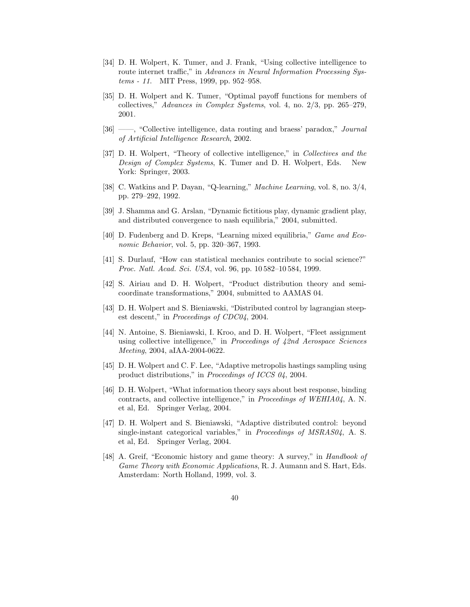- [34] D. H. Wolpert, K. Tumer, and J. Frank, "Using collective intelligence to route internet traffic," in *Advances in Neural Information Processing Systems - 11*. MIT Press, 1999, pp. 952–958.
- [35] D. H. Wolpert and K. Tumer, "Optimal payoff functions for members of collectives," *Advances in Complex Systems*, vol. 4, no. 2/3, pp. 265–279, 2001.
- [36] ——, "Collective intelligence, data routing and braess' paradox," *Journal of Artificial Intelligence Research*, 2002.
- [37] D. H. Wolpert, "Theory of collective intelligence," in *Collectives and the Design of Complex Systems*, K. Tumer and D. H. Wolpert, Eds. New York: Springer, 2003.
- [38] C. Watkins and P. Dayan, "Q-learning," *Machine Learning*, vol. 8, no. 3/4, pp. 279–292, 1992.
- [39] J. Shamma and G. Arslan, "Dynamic fictitious play, dynamic gradient play, and distributed convergence to nash equilibria," 2004, submitted.
- [40] D. Fudenberg and D. Kreps, "Learning mixed equilibria," *Game and Economic Behavior*, vol. 5, pp. 320–367, 1993.
- [41] S. Durlauf, "How can statistical mechanics contribute to social science?" *Proc. Natl. Acad. Sci. USA*, vol. 96, pp. 10 582–10 584, 1999.
- [42] S. Airiau and D. H. Wolpert, "Product distribution theory and semicoordinate transformations," 2004, submitted to AAMAS 04.
- [43] D. H. Wolpert and S. Bieniawski, "Distributed control by lagrangian steepest descent," in *Proceedings of CDC04*, 2004.
- [44] N. Antoine, S. Bieniawski, I. Kroo, and D. H. Wolpert, "Fleet assignment using collective intelligence," in *Proceedings of 42nd Aerospace Sciences Meeting*, 2004, aIAA-2004-0622.
- [45] D. H. Wolpert and C. F. Lee, "Adaptive metropolis hastings sampling using product distributions," in *Proceedings of ICCS 04*, 2004.
- [46] D. H. Wolpert, "What information theory says about best response, binding contracts, and collective intelligence," in *Proceedings of WEHIA04*, A. N. et al, Ed. Springer Verlag, 2004.
- [47] D. H. Wolpert and S. Bieniawski, "Adaptive distributed control: beyond single-instant categorical variables," in *Proceedings of MSRAS04*, A. S. et al, Ed. Springer Verlag, 2004.
- [48] A. Greif, "Economic history and game theory: A survey," in *Handbook of Game Theory with Economic Applications*, R. J. Aumann and S. Hart, Eds. Amsterdam: North Holland, 1999, vol. 3.